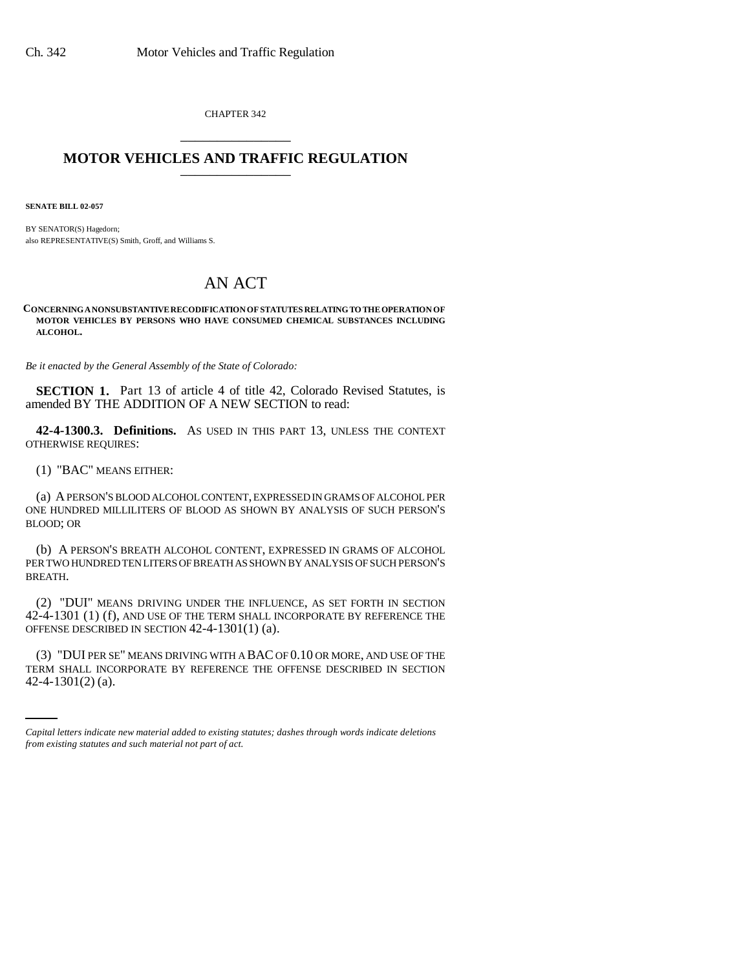CHAPTER 342 \_\_\_\_\_\_\_\_\_\_\_\_\_\_\_

# **MOTOR VEHICLES AND TRAFFIC REGULATION** \_\_\_\_\_\_\_\_\_\_\_\_\_\_\_

**SENATE BILL 02-057**

BY SENATOR(S) Hagedorn; also REPRESENTATIVE(S) Smith, Groff, and Williams S.

# AN ACT

**CONCERNING A NONSUBSTANTIVE RECODIFICATION OF STATUTES RELATING TO THE OPERATION OF MOTOR VEHICLES BY PERSONS WHO HAVE CONSUMED CHEMICAL SUBSTANCES INCLUDING ALCOHOL.**

*Be it enacted by the General Assembly of the State of Colorado:*

**SECTION 1.** Part 13 of article 4 of title 42, Colorado Revised Statutes, is amended BY THE ADDITION OF A NEW SECTION to read:

**42-4-1300.3. Definitions.** AS USED IN THIS PART 13, UNLESS THE CONTEXT OTHERWISE REQUIRES:

(1) "BAC" MEANS EITHER:

(a) A PERSON'S BLOOD ALCOHOL CONTENT, EXPRESSED IN GRAMS OF ALCOHOL PER ONE HUNDRED MILLILITERS OF BLOOD AS SHOWN BY ANALYSIS OF SUCH PERSON'S BLOOD; OR

(b) A PERSON'S BREATH ALCOHOL CONTENT, EXPRESSED IN GRAMS OF ALCOHOL PER TWO HUNDRED TEN LITERS OF BREATH AS SHOWN BY ANALYSIS OF SUCH PERSON'S BREATH.

(2) "DUI" MEANS DRIVING UNDER THE INFLUENCE, AS SET FORTH IN SECTION 42-4-1301 (1) (f), AND USE OF THE TERM SHALL INCORPORATE BY REFERENCE THE OFFENSE DESCRIBED IN SECTION 42-4-1301(1) (a).

(3) "DUI PER SE" MEANS DRIVING WITH A BAC OF 0.10 OR MORE, AND USE OF THE TERM SHALL INCORPORATE BY REFERENCE THE OFFENSE DESCRIBED IN SECTION 42-4-1301(2) (a).

*Capital letters indicate new material added to existing statutes; dashes through words indicate deletions from existing statutes and such material not part of act.*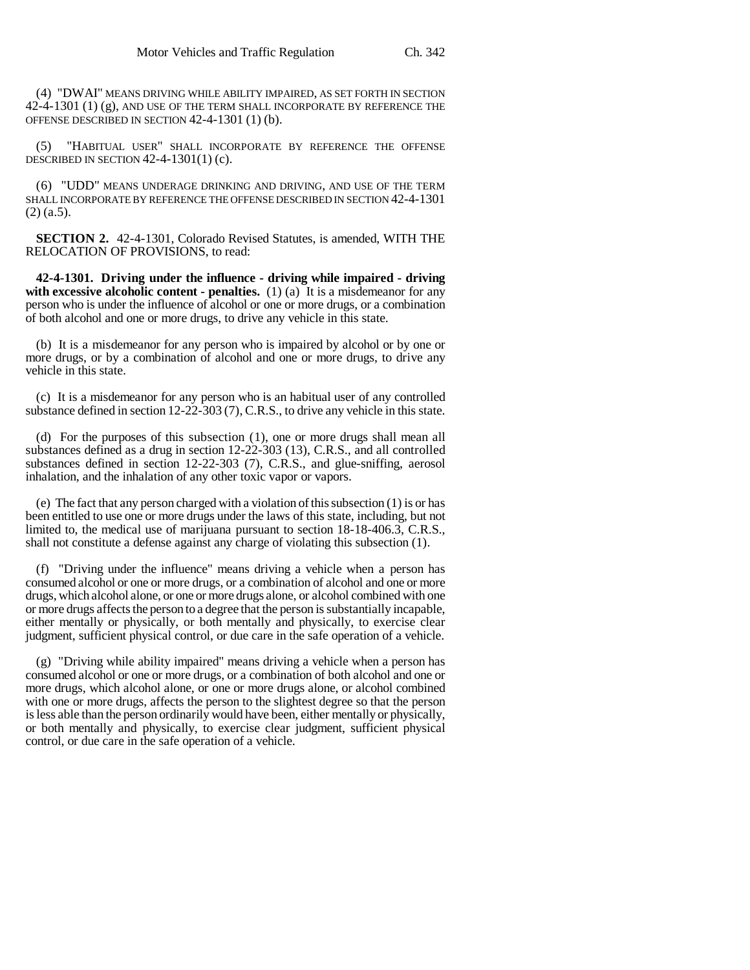(4) "DWAI" MEANS DRIVING WHILE ABILITY IMPAIRED, AS SET FORTH IN SECTION 42-4-1301 (1) (g), AND USE OF THE TERM SHALL INCORPORATE BY REFERENCE THE OFFENSE DESCRIBED IN SECTION 42-4-1301 (1) (b).

(5) "HABITUAL USER" SHALL INCORPORATE BY REFERENCE THE OFFENSE DESCRIBED IN SECTION  $42-4-1301(1)$  (c).

(6) "UDD" MEANS UNDERAGE DRINKING AND DRIVING, AND USE OF THE TERM SHALL INCORPORATE BY REFERENCE THE OFFENSE DESCRIBED IN SECTION 42-4-1301  $(2)$  (a.5).

**SECTION 2.** 42-4-1301, Colorado Revised Statutes, is amended, WITH THE RELOCATION OF PROVISIONS, to read:

**42-4-1301. Driving under the influence - driving while impaired - driving with excessive alcoholic content - penalties.** (1) (a) It is a misdemeanor for any person who is under the influence of alcohol or one or more drugs, or a combination of both alcohol and one or more drugs, to drive any vehicle in this state.

(b) It is a misdemeanor for any person who is impaired by alcohol or by one or more drugs, or by a combination of alcohol and one or more drugs, to drive any vehicle in this state.

(c) It is a misdemeanor for any person who is an habitual user of any controlled substance defined in section 12-22-303 (7), C.R.S., to drive any vehicle in this state.

(d) For the purposes of this subsection (1), one or more drugs shall mean all substances defined as a drug in section 12-22-303 (13), C.R.S., and all controlled substances defined in section 12-22-303 (7), C.R.S., and glue-sniffing, aerosol inhalation, and the inhalation of any other toxic vapor or vapors.

(e) The fact that any person charged with a violation of this subsection (1) is or has been entitled to use one or more drugs under the laws of this state, including, but not limited to, the medical use of marijuana pursuant to section 18-18-406.3, C.R.S., shall not constitute a defense against any charge of violating this subsection (1).

(f) "Driving under the influence" means driving a vehicle when a person has consumed alcohol or one or more drugs, or a combination of alcohol and one or more drugs, which alcohol alone, or one or more drugs alone, or alcohol combined with one or more drugs affects the person to a degree that the person is substantially incapable, either mentally or physically, or both mentally and physically, to exercise clear judgment, sufficient physical control, or due care in the safe operation of a vehicle.

(g) "Driving while ability impaired" means driving a vehicle when a person has consumed alcohol or one or more drugs, or a combination of both alcohol and one or more drugs, which alcohol alone, or one or more drugs alone, or alcohol combined with one or more drugs, affects the person to the slightest degree so that the person is less able than the person ordinarily would have been, either mentally or physically, or both mentally and physically, to exercise clear judgment, sufficient physical control, or due care in the safe operation of a vehicle.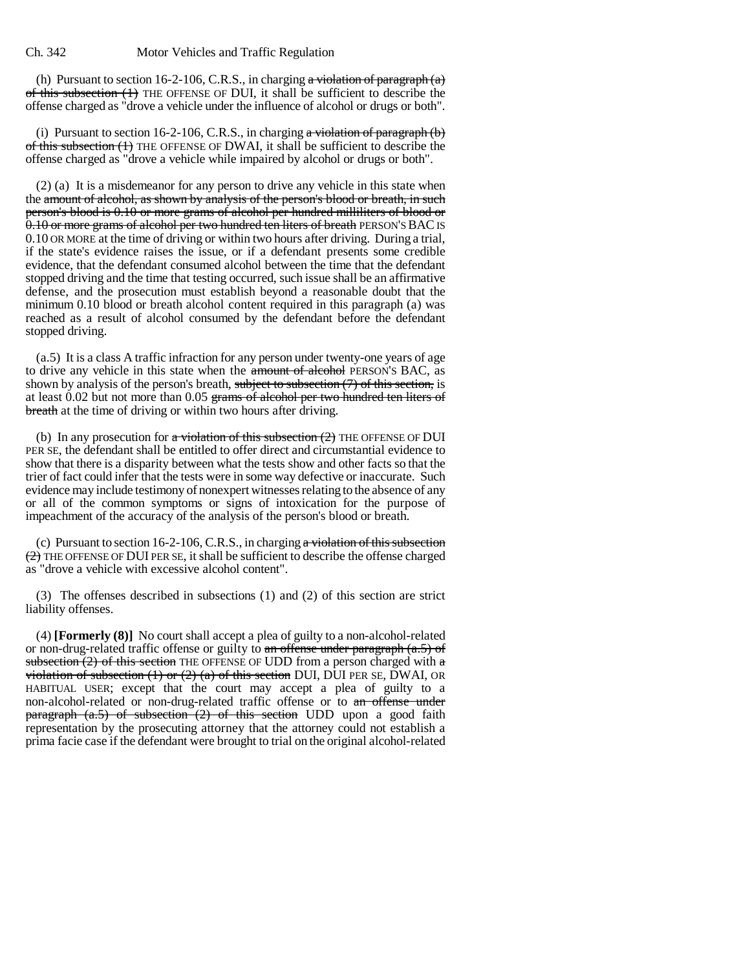(h) Pursuant to section 16-2-106, C.R.S., in charging a violation of paragraph  $(a)$ of this subsection (1) THE OFFENSE OF DUI, it shall be sufficient to describe the offense charged as "drove a vehicle under the influence of alcohol or drugs or both".

(i) Pursuant to section 16-2-106, C.R.S., in charging  $\alpha$  violation of paragraph (b) of this subsection (1) THE OFFENSE OF DWAI, it shall be sufficient to describe the offense charged as "drove a vehicle while impaired by alcohol or drugs or both".

(2) (a) It is a misdemeanor for any person to drive any vehicle in this state when the amount of alcohol, as shown by analysis of the person's blood or breath, in such person's blood is 0.10 or more grams of alcohol per hundred milliliters of blood or 0.10 or more grams of alcohol per two hundred ten liters of breath PERSON'S BAC IS 0.10 OR MORE at the time of driving or within two hours after driving. During a trial, if the state's evidence raises the issue, or if a defendant presents some credible evidence, that the defendant consumed alcohol between the time that the defendant stopped driving and the time that testing occurred, such issue shall be an affirmative defense, and the prosecution must establish beyond a reasonable doubt that the minimum 0.10 blood or breath alcohol content required in this paragraph (a) was reached as a result of alcohol consumed by the defendant before the defendant stopped driving.

(a.5) It is a class A traffic infraction for any person under twenty-one years of age to drive any vehicle in this state when the amount of alcohol PERSON'S BAC, as shown by analysis of the person's breath, subject to subsection (7) of this section, is at least 0.02 but not more than 0.05 grams of alcohol per two hundred ten liters of breath at the time of driving or within two hours after driving.

(b) In any prosecution for  $\alpha$  violation of this subsection (2) THE OFFENSE OF DUI PER SE, the defendant shall be entitled to offer direct and circumstantial evidence to show that there is a disparity between what the tests show and other facts so that the trier of fact could infer that the tests were in some way defective or inaccurate. Such evidence may include testimony of nonexpert witnesses relating to the absence of any or all of the common symptoms or signs of intoxication for the purpose of impeachment of the accuracy of the analysis of the person's blood or breath.

(c) Pursuant to section 16-2-106, C.R.S., in charging a violation of this subsection  $(2)$  THE OFFENSE OF DUI PER SE, it shall be sufficient to describe the offense charged as "drove a vehicle with excessive alcohol content".

(3) The offenses described in subsections (1) and (2) of this section are strict liability offenses.

(4) **[Formerly (8)]** No court shall accept a plea of guilty to a non-alcohol-related or non-drug-related traffic offense or guilty to an offense under paragraph  $(a.5)$  of subsection (2) of this section THE OFFENSE OF UDD from a person charged with  $\alpha$ violation of subsection (1) or (2) (a) of this section DUI, DUI PER SE, DWAI, OR HABITUAL USER; except that the court may accept a plea of guilty to a non-alcohol-related or non-drug-related traffic offense or to an offense under paragraph  $(a.5)$  of subsection  $(2)$  of this section UDD upon a good faith representation by the prosecuting attorney that the attorney could not establish a prima facie case if the defendant were brought to trial on the original alcohol-related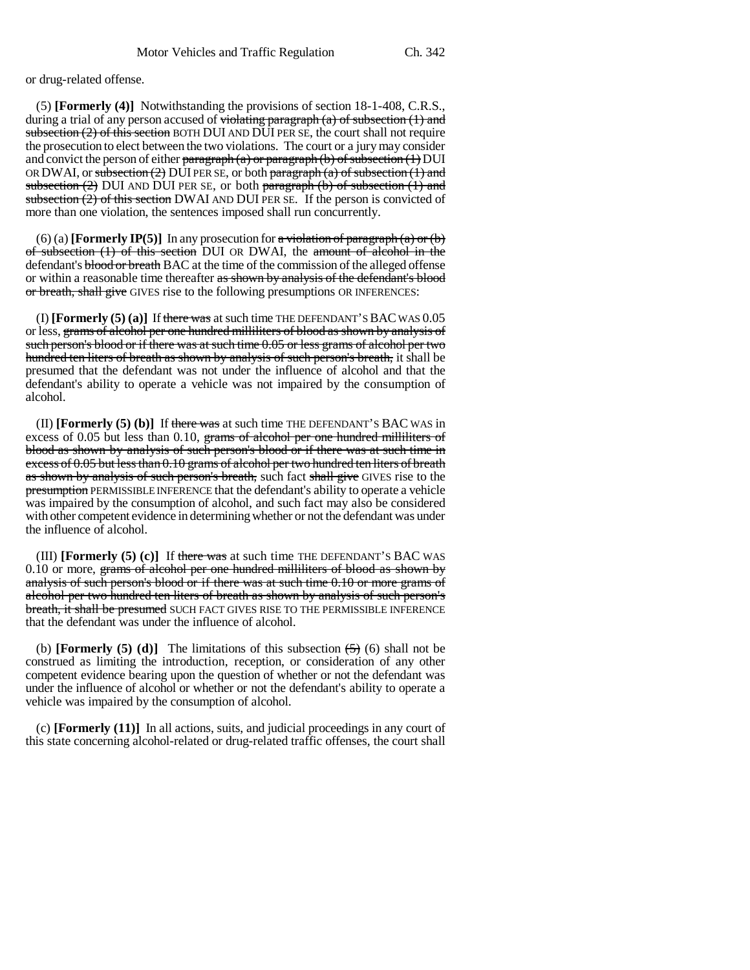or drug-related offense.

(5) **[Formerly (4)]** Notwithstanding the provisions of section 18-1-408, C.R.S., during a trial of any person accused of  $\overline{\text{violating paragraph}}(a)$  of subsection  $(1)$  and subsection  $(2)$  of this section BOTH DUI AND DUI PER SE, the court shall not require the prosecution to elect between the two violations. The court or a jury may consider and convict the person of either paragraph  $(a)$  or paragraph  $(b)$  of subsection  $(1)$  DUI OR DWAI, or subsection  $(2)$  DUI PER SE, or both paragraph  $(a)$  of subsection  $(1)$  and subsection  $(2)$  DUI AND DUI PER SE, or both paragraph  $(b)$  of subsection  $(1)$  and subsection (2) of this section DWAI AND DUI PER SE. If the person is convicted of more than one violation, the sentences imposed shall run concurrently.

(6) (a) **[Formerly IP(5)]** In any prosecution for  $\alpha$  violation of paragraph (a) or (b) of subsection (1) of this section DUI OR DWAI, the amount of alcohol in the defendant's blood or breath BAC at the time of the commission of the alleged offense or within a reasonable time thereafter as shown by analysis of the defendant's blood or breath, shall give GIVES rise to the following presumptions OR INFERENCES:

(I) **[Formerly (5) (a)]** If there was at such time THE DEFENDANT'S BAC WAS 0.05 or less, grams of alcohol per one hundred milliliters of blood as shown by analysis of such person's blood or if there was at such time 0.05 or less grams of alcohol per two hundred ten liters of breath as shown by analysis of such person's breath, it shall be presumed that the defendant was not under the influence of alcohol and that the defendant's ability to operate a vehicle was not impaired by the consumption of alcohol.

(II) **[Formerly (5) (b)]** If there was at such time THE DEFENDANT'S BAC WAS in excess of 0.05 but less than 0.10, grams of alcohol per one hundred milliliters of blood as shown by analysis of such person's blood or if there was at such time in excess of 0.05 but less than 0.10 grams of alcohol per two hundred ten liters of breath as shown by analysis of such person's breath, such fact shall give GIVES rise to the presumption PERMISSIBLE INFERENCE that the defendant's ability to operate a vehicle was impaired by the consumption of alcohol, and such fact may also be considered with other competent evidence in determining whether or not the defendant was under the influence of alcohol.

(III) **[Formerly**  $(5)(c)$ **]** If there was at such time THE DEFENDANT'S BAC WAS 0.10 or more, grams of alcohol per one hundred milliliters of blood as shown by analysis of such person's blood or if there was at such time 0.10 or more grams of alcohol per two hundred ten liters of breath as shown by analysis of such person's breath, it shall be presumed SUCH FACT GIVES RISE TO THE PERMISSIBLE INFERENCE that the defendant was under the influence of alcohol.

(b) **[Formerly (5) (d)]** The limitations of this subsection  $\left(\frac{5}{5}\right)$  (6) shall not be construed as limiting the introduction, reception, or consideration of any other competent evidence bearing upon the question of whether or not the defendant was under the influence of alcohol or whether or not the defendant's ability to operate a vehicle was impaired by the consumption of alcohol.

(c) **[Formerly (11)]** In all actions, suits, and judicial proceedings in any court of this state concerning alcohol-related or drug-related traffic offenses, the court shall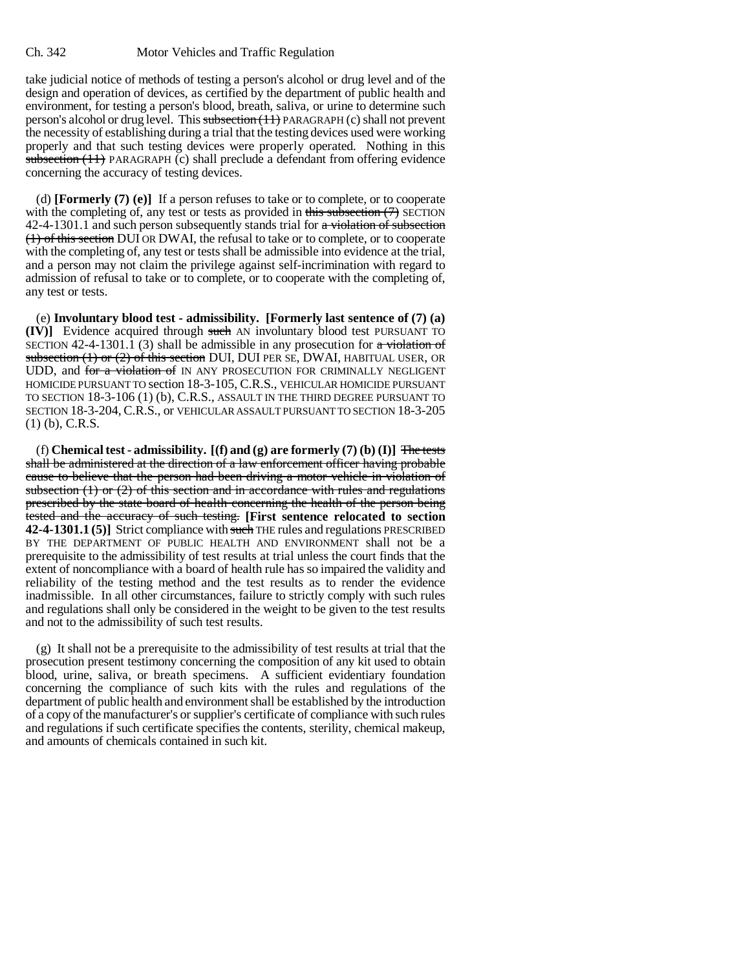## Ch. 342 Motor Vehicles and Traffic Regulation

take judicial notice of methods of testing a person's alcohol or drug level and of the design and operation of devices, as certified by the department of public health and environment, for testing a person's blood, breath, saliva, or urine to determine such person's alcohol or drug level. This subsection (11) PARAGRAPH (c) shall not prevent the necessity of establishing during a trial that the testing devices used were working properly and that such testing devices were properly operated. Nothing in this subsection  $(11)$  PARAGRAPH (c) shall preclude a defendant from offering evidence concerning the accuracy of testing devices.

(d) **[Formerly (7) (e)]** If a person refuses to take or to complete, or to cooperate with the completing of, any test or tests as provided in this subsection  $(7)$  SECTION  $42-4-1301.1$  and such person subsequently stands trial for  $\alpha$  violation of subsection (1) of this section DUI OR DWAI, the refusal to take or to complete, or to cooperate with the completing of, any test or tests shall be admissible into evidence at the trial, and a person may not claim the privilege against self-incrimination with regard to admission of refusal to take or to complete, or to cooperate with the completing of, any test or tests.

(e) **Involuntary blood test - admissibility. [Formerly last sentence of (7) (a) (IV)]** Evidence acquired through such AN involuntary blood test PURSUANT TO SECTION 42-4-1301.1 (3) shall be admissible in any prosecution for a violation of subsection  $(1)$  or  $(2)$  of this section DUI, DUI PER SE, DWAI, HABITUAL USER, OR UDD, and for a violation of IN ANY PROSECUTION FOR CRIMINALLY NEGLIGENT HOMICIDE PURSUANT TO section 18-3-105, C.R.S., VEHICULAR HOMICIDE PURSUANT TO SECTION 18-3-106 (1) (b), C.R.S., ASSAULT IN THE THIRD DEGREE PURSUANT TO SECTION 18-3-204, C.R.S., or VEHICULAR ASSAULT PURSUANT TO SECTION 18-3-205 (1) (b), C.R.S.

(f) **Chemical test - admissibility. [(f) and (g) are formerly (7) (b) (I)]** The tests shall be administered at the direction of a law enforcement officer having probable cause to believe that the person had been driving a motor vehicle in violation of subsection  $(1)$  or  $(2)$  of this section and in accordance with rules and regulations prescribed by the state board of health concerning the health of the person being tested and the accuracy of such testing. **[First sentence relocated to section 42-4-1301.1 (5)]** Strict compliance with such THE rules and regulations PRESCRIBED BY THE DEPARTMENT OF PUBLIC HEALTH AND ENVIRONMENT shall not be a prerequisite to the admissibility of test results at trial unless the court finds that the extent of noncompliance with a board of health rule has so impaired the validity and reliability of the testing method and the test results as to render the evidence inadmissible. In all other circumstances, failure to strictly comply with such rules and regulations shall only be considered in the weight to be given to the test results and not to the admissibility of such test results.

(g) It shall not be a prerequisite to the admissibility of test results at trial that the prosecution present testimony concerning the composition of any kit used to obtain blood, urine, saliva, or breath specimens. A sufficient evidentiary foundation concerning the compliance of such kits with the rules and regulations of the department of public health and environment shall be established by the introduction of a copy of the manufacturer's or supplier's certificate of compliance with such rules and regulations if such certificate specifies the contents, sterility, chemical makeup, and amounts of chemicals contained in such kit.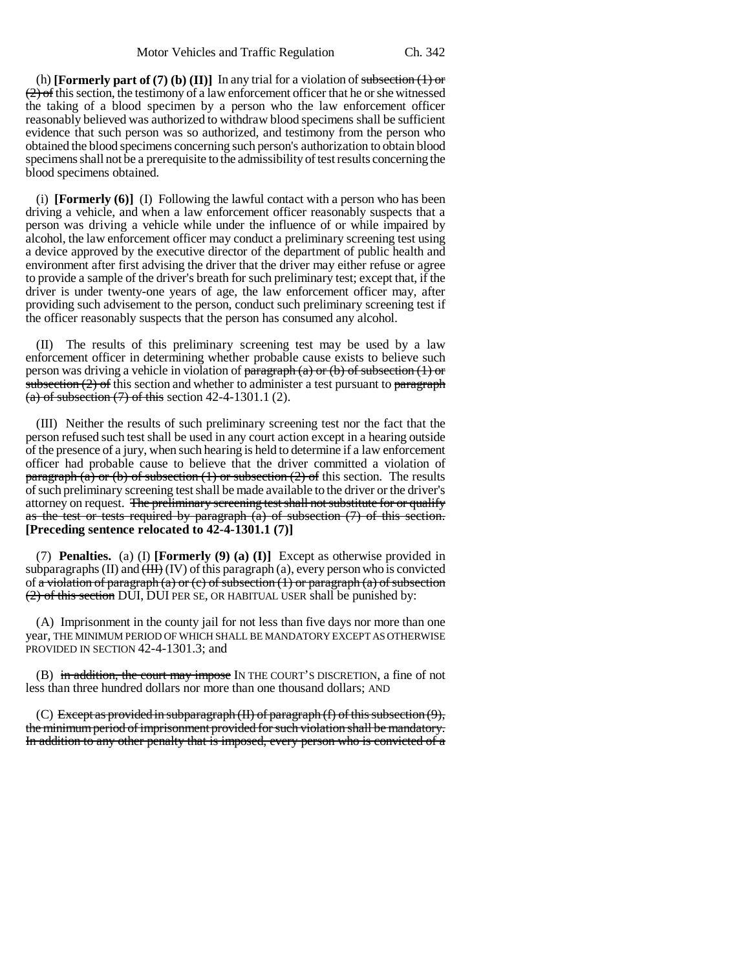(h) **[Formerly part of (7) (b) (II)]** In any trial for a violation of subsection  $(1)$  or  $(2)$  of this section, the testimony of a law enforcement officer that he or she witnessed the taking of a blood specimen by a person who the law enforcement officer reasonably believed was authorized to withdraw blood specimens shall be sufficient evidence that such person was so authorized, and testimony from the person who obtained the blood specimens concerning such person's authorization to obtain blood specimens shall not be a prerequisite to the admissibility of test results concerning the blood specimens obtained.

(i) **[Formerly (6)]** (I) Following the lawful contact with a person who has been driving a vehicle, and when a law enforcement officer reasonably suspects that a person was driving a vehicle while under the influence of or while impaired by alcohol, the law enforcement officer may conduct a preliminary screening test using a device approved by the executive director of the department of public health and environment after first advising the driver that the driver may either refuse or agree to provide a sample of the driver's breath for such preliminary test; except that, if the driver is under twenty-one years of age, the law enforcement officer may, after providing such advisement to the person, conduct such preliminary screening test if the officer reasonably suspects that the person has consumed any alcohol.

(II) The results of this preliminary screening test may be used by a law enforcement officer in determining whether probable cause exists to believe such person was driving a vehicle in violation of paragraph (a) or (b) of subsection (1) or subsection  $(2)$  of this section and whether to administer a test pursuant to paragraph (a) of subsection  $(7)$  of this section 42-4-1301.1  $(2)$ .

(III) Neither the results of such preliminary screening test nor the fact that the person refused such test shall be used in any court action except in a hearing outside of the presence of a jury, when such hearing is held to determine if a law enforcement officer had probable cause to believe that the driver committed a violation of paragraph (a) or (b) of subsection (1) or subsection (2) of this section. The results of such preliminary screening test shall be made available to the driver or the driver's attorney on request. The preliminary screening test shall not substitute for or qualify as the test or tests required by paragraph  $(a)$  of subsection  $(7)$  of this section. **[Preceding sentence relocated to 42-4-1301.1 (7)]**

(7) **Penalties.** (a) (I) **[Formerly (9) (a) (I)]** Except as otherwise provided in subparagraphs (II) and  $(HH)$  (IV) of this paragraph (a), every person who is convicted of a violation of paragraph (a) or (c) of subsection  $(1)$  or paragraph (a) of subsection (2) of this section DUI, DUI PER SE, OR HABITUAL USER shall be punished by:

(A) Imprisonment in the county jail for not less than five days nor more than one year, THE MINIMUM PERIOD OF WHICH SHALL BE MANDATORY EXCEPT AS OTHERWISE PROVIDED IN SECTION 42-4-1301.3; and

(B) in addition, the court may impose IN THE COURT'S DISCRETION, a fine of not less than three hundred dollars nor more than one thousand dollars; AND

(C) Except as provided in subparagraph  $(H)$  of paragraph  $(f)$  of this subsection  $(9)$ , the minimum period of imprisonment provided for such violation shall be mandatory. In addition to any other penalty that is imposed, every person who is convicted of a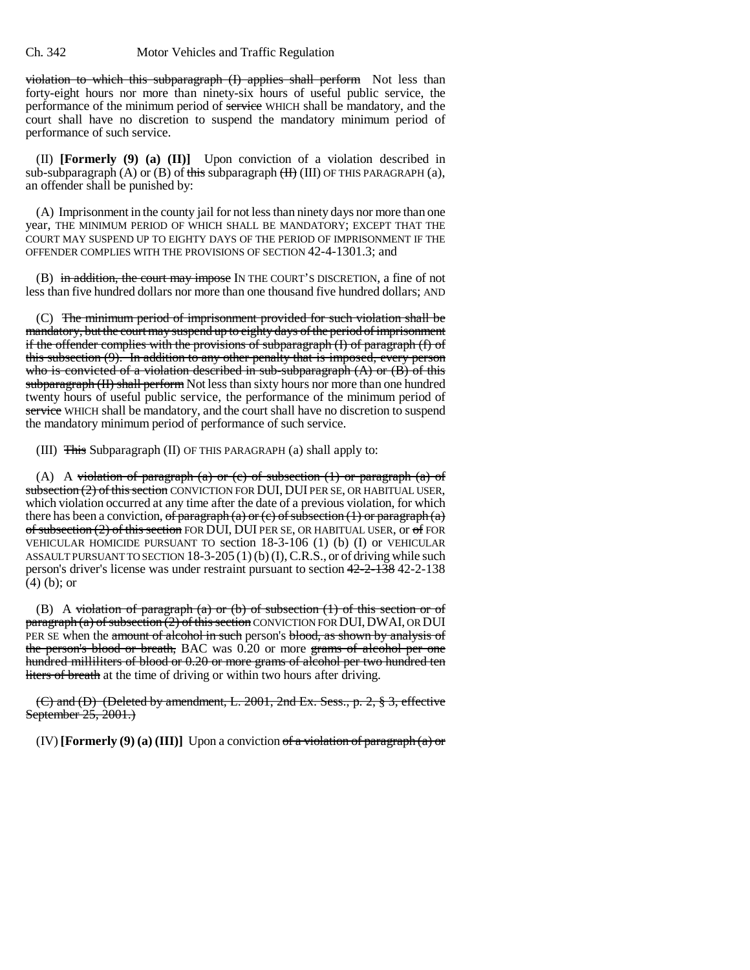violation to which this subparagraph (I) applies shall perform Not less than forty-eight hours nor more than ninety-six hours of useful public service, the performance of the minimum period of service WHICH shall be mandatory, and the court shall have no discretion to suspend the mandatory minimum period of performance of such service.

(II) **[Formerly (9) (a) (II)]** Upon conviction of a violation described in sub-subparagraph (A) or (B) of this subparagraph  $(H)$  (III) OF THIS PARAGRAPH (a), an offender shall be punished by:

(A) Imprisonment in the county jail for not less than ninety days nor more than one year, THE MINIMUM PERIOD OF WHICH SHALL BE MANDATORY; EXCEPT THAT THE COURT MAY SUSPEND UP TO EIGHTY DAYS OF THE PERIOD OF IMPRISONMENT IF THE OFFENDER COMPLIES WITH THE PROVISIONS OF SECTION 42-4-1301.3; and

(B) in addition, the court may impose IN THE COURT'S DISCRETION, a fine of not less than five hundred dollars nor more than one thousand five hundred dollars; AND

(C) The minimum period of imprisonment provided for such violation shall be mandatory, but the court may suspend up to eighty days of the period of imprisonment if the offender complies with the provisions of subparagraph (I) of paragraph (f) of this subsection (9). In addition to any other penalty that is imposed, every person who is convicted of a violation described in sub-subparagraph  $(A)$  or  $(B)$  of this subparagraph (II) shall perform Not less than sixty hours nor more than one hundred twenty hours of useful public service, the performance of the minimum period of service WHICH shall be mandatory, and the court shall have no discretion to suspend the mandatory minimum period of performance of such service.

(III) This Subparagraph (II) OF THIS PARAGRAPH (a) shall apply to:

(A) A violation of paragraph (a) or (c) of subsection  $(1)$  or paragraph  $(a)$  of subsection (2) of this section CONVICTION FOR DUI, DUI PER SE, OR HABITUAL USER, which violation occurred at any time after the date of a previous violation, for which there has been a conviction, of paragraph (a) or (c) of subsection (1) or paragraph (a) of subsection  $(2)$  of this section FOR DUI, DUI PER SE, OR HABITUAL USER, or of FOR VEHICULAR HOMICIDE PURSUANT TO section 18-3-106 (1) (b) (I) or VEHICULAR ASSAULT PURSUANT TO SECTION 18-3-205 (1) (b) (I), C.R.S., or of driving while such person's driver's license was under restraint pursuant to section 42-2-138 42-2-138 (4) (b); or

(B) A violation of paragraph (a) or (b) of subsection  $(1)$  of this section or of  $\frac{1}{\text{paragnph}}$  (a) of subsection (2) of this section CONVICTION FOR DUI, DWAI, OR DUI PER SE when the amount of alcohol in such person's blood, as shown by analysis of the person's blood or breath, BAC was 0.20 or more grams of alcohol per one hundred milliliters of blood or 0.20 or more grams of alcohol per two hundred ten liters of breath at the time of driving or within two hours after driving.

(C) and (D) (Deleted by amendment, L. 2001, 2nd Ex. Sess., p. 2,  $\S$  3, effective September 25, 2001.)

(IV) **[Formerly (9) (a) (III)]** Upon a conviction of a violation of paragraph (a) or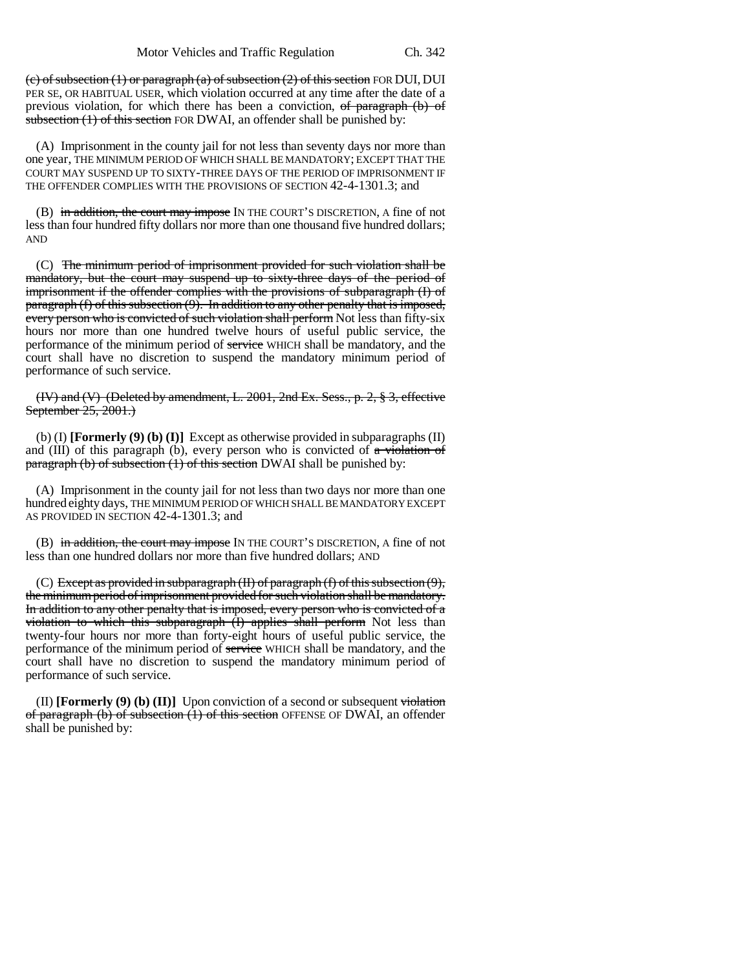(c) of subsection  $(1)$  or paragraph  $(a)$  of subsection  $(2)$  of this section FOR DUI, DUI PER SE, OR HABITUAL USER, which violation occurred at any time after the date of a previous violation, for which there has been a conviction, of paragraph (b) of subsection  $(1)$  of this section FOR DWAI, an offender shall be punished by:

(A) Imprisonment in the county jail for not less than seventy days nor more than one year, THE MINIMUM PERIOD OF WHICH SHALL BE MANDATORY; EXCEPT THAT THE COURT MAY SUSPEND UP TO SIXTY-THREE DAYS OF THE PERIOD OF IMPRISONMENT IF THE OFFENDER COMPLIES WITH THE PROVISIONS OF SECTION 42-4-1301.3; and

(B) in addition, the court may impose IN THE COURT'S DISCRETION, A fine of not less than four hundred fifty dollars nor more than one thousand five hundred dollars; AND

(C) The minimum period of imprisonment provided for such violation shall be mandatory, but the court may suspend up to sixty-three days of the period of imprisonment if the offender complies with the provisions of subparagraph (I) of paragraph (f) of this subsection (9). In addition to any other penalty that is imposed, every person who is convicted of such violation shall perform Not less than fifty-six hours nor more than one hundred twelve hours of useful public service, the performance of the minimum period of service WHICH shall be mandatory, and the court shall have no discretion to suspend the mandatory minimum period of performance of such service.

(IV) and (V) (Deleted by amendment, L. 2001, 2nd Ex. Sess., p. 2, § 3, effective September 25, 2001.)

(b) (I) **[Formerly (9) (b) (I)]** Except as otherwise provided in subparagraphs (II) and (III) of this paragraph (b), every person who is convicted of  $\alpha$  violation of paragraph (b) of subsection (1) of this section DWAI shall be punished by:

(A) Imprisonment in the county jail for not less than two days nor more than one hundred eighty days, THE MINIMUM PERIOD OF WHICH SHALL BE MANDATORY EXCEPT AS PROVIDED IN SECTION 42-4-1301.3; and

(B) in addition, the court may impose IN THE COURT'S DISCRETION, A fine of not less than one hundred dollars nor more than five hundred dollars; AND

(C) Except as provided in subparagraph (II) of paragraph (f) of this subsection (9), the minimum period of imprisonment provided for such violation shall be mandatory. In addition to any other penalty that is imposed, every person who is convicted of a violation to which this subparagraph (I) applies shall perform Not less than twenty-four hours nor more than forty-eight hours of useful public service, the performance of the minimum period of service WHICH shall be mandatory, and the court shall have no discretion to suspend the mandatory minimum period of performance of such service.

(II) **[Formerly (9) (b) (II)]** Upon conviction of a second or subsequent violation of paragraph (b) of subsection (1) of this section OFFENSE OF DWAI, an offender shall be punished by: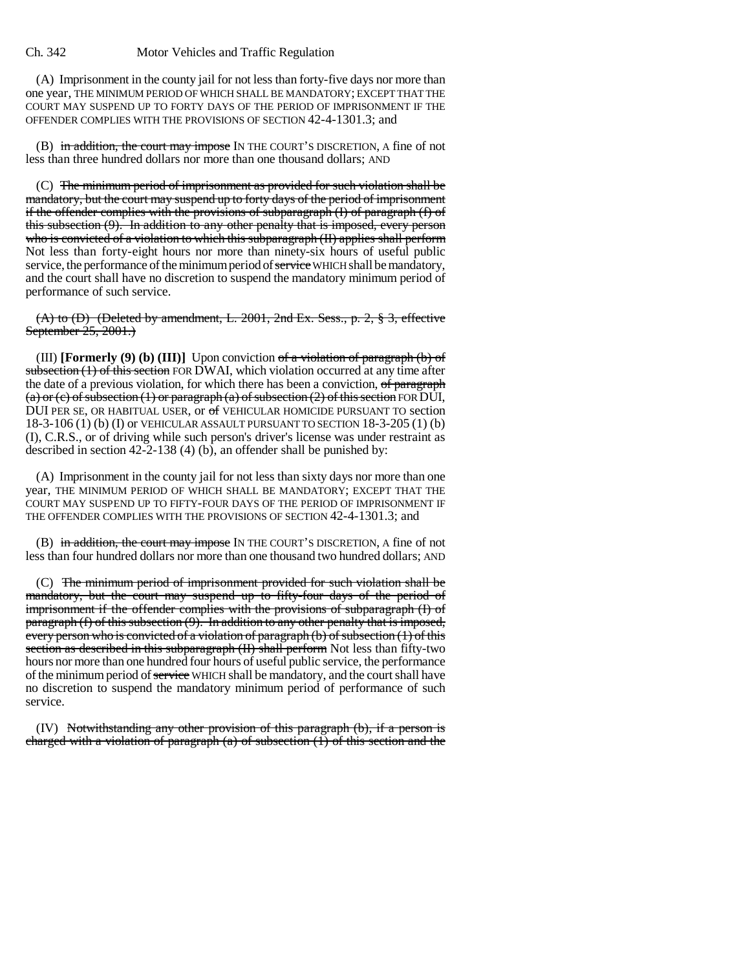#### Ch. 342 Motor Vehicles and Traffic Regulation

(A) Imprisonment in the county jail for not less than forty-five days nor more than one year, THE MINIMUM PERIOD OF WHICH SHALL BE MANDATORY; EXCEPT THAT THE COURT MAY SUSPEND UP TO FORTY DAYS OF THE PERIOD OF IMPRISONMENT IF THE OFFENDER COMPLIES WITH THE PROVISIONS OF SECTION 42-4-1301.3; and

(B) in addition, the court may impose IN THE COURT'S DISCRETION, A fine of not less than three hundred dollars nor more than one thousand dollars; AND

(C) The minimum period of imprisonment as provided for such violation shall be mandatory, but the court may suspend up to forty days of the period of imprisonment if the offender complies with the provisions of subparagraph (I) of paragraph (f) of this subsection (9). In addition to any other penalty that is imposed, every person who is convicted of a violation to which this subparagraph (II) applies shall perform Not less than forty-eight hours nor more than ninety-six hours of useful public service, the performance of the minimum period of service WHICH shall be mandatory, and the court shall have no discretion to suspend the mandatory minimum period of performance of such service.

 $(A)$  to  $(B)$  (Deleted by amendment, L. 2001, 2nd Ex. Sess., p. 2,  $\S$  3, effective September 25, 2001.)

(III) **[Formerly (9) (b) (III)]** Upon conviction of a violation of paragraph (b) of subsection (1) of this section FOR DWAI, which violation occurred at any time after the date of a previous violation, for which there has been a conviction, of paragraph (a) or (c) of subsection (1) or paragraph (a) of subsection (2) of this section FOR DUI, DUI PER SE, OR HABITUAL USER, or of VEHICULAR HOMICIDE PURSUANT TO section 18-3-106 (1) (b) (I) or VEHICULAR ASSAULT PURSUANT TO SECTION 18-3-205 (1) (b) (I), C.R.S., or of driving while such person's driver's license was under restraint as described in section  $42-2-138$  (4) (b), an offender shall be punished by:

(A) Imprisonment in the county jail for not less than sixty days nor more than one year, THE MINIMUM PERIOD OF WHICH SHALL BE MANDATORY; EXCEPT THAT THE COURT MAY SUSPEND UP TO FIFTY-FOUR DAYS OF THE PERIOD OF IMPRISONMENT IF THE OFFENDER COMPLIES WITH THE PROVISIONS OF SECTION 42-4-1301.3; and

(B) in addition, the court may impose IN THE COURT'S DISCRETION, A fine of not less than four hundred dollars nor more than one thousand two hundred dollars; AND

(C) The minimum period of imprisonment provided for such violation shall be mandatory, but the court may suspend up to fifty-four days of the period of imprisonment if the offender complies with the provisions of subparagraph (I) of paragraph (f) of this subsection (9). In addition to any other penalty that is imposed, every person who is convicted of a violation of paragraph (b) of subsection (1) of this section as described in this subparagraph (II) shall perform Not less than fifty-two hours nor more than one hundred four hours of useful public service, the performance of the minimum period of service WHICH shall be mandatory, and the court shall have no discretion to suspend the mandatory minimum period of performance of such service.

(IV) Notwithstanding any other provision of this paragraph (b), if a person is charged with a violation of paragraph  $(a)$  of subsection  $(1)$  of this section and the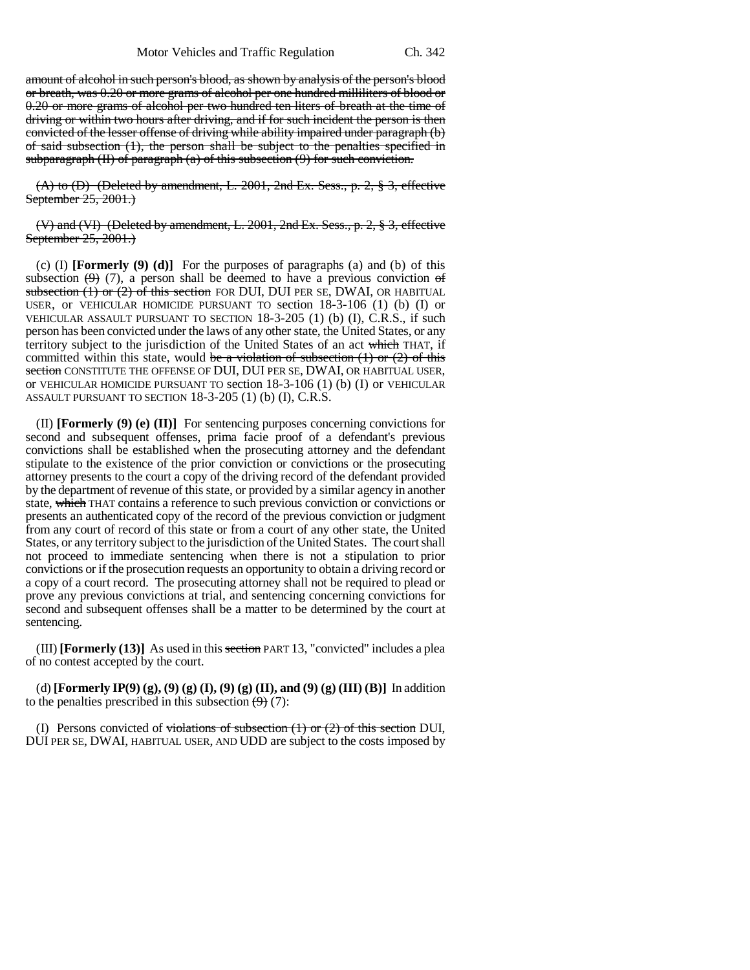amount of alcohol in such person's blood, as shown by analysis of the person's blood or breath, was 0.20 or more grams of alcohol per one hundred milliliters of blood or 0.20 or more grams of alcohol per two hundred ten liters of breath at the time of driving or within two hours after driving, and if for such incident the person is then convicted of the lesser offense of driving while ability impaired under paragraph (b) of said subsection (1), the person shall be subject to the penalties specified in subparagraph  $(II)$  of paragraph  $(a)$  of this subsection  $(9)$  for such conviction.

 $(A)$  to  $(B)$  (Deleted by amendment, L. 2001, 2nd Ex. Sess., p. 2,  $\S$  3, effective September 25, 2001.)

(V) and (VI) (Deleted by amendment, L. 2001, 2nd Ex. Sess., p. 2, § 3, effective September 25, 2001.)

(c) (I) **[Formerly (9) (d)]** For the purposes of paragraphs (a) and (b) of this subsection  $(9)$  (7), a person shall be deemed to have a previous conviction of subsection  $(1)$  or  $(2)$  of this section FOR DUI, DUI PER SE, DWAI, OR HABITUAL USER, or VEHICULAR HOMICIDE PURSUANT TO section 18-3-106 (1) (b) (I) or VEHICULAR ASSAULT PURSUANT TO SECTION 18-3-205 (1) (b) (I), C.R.S., if such person has been convicted under the laws of any other state, the United States, or any territory subject to the jurisdiction of the United States of an act which THAT, if committed within this state, would be a violation of subsection  $(1)$  or  $(2)$  of this section CONSTITUTE THE OFFENSE OF DUI, DUI PER SE, DWAI, OR HABITUAL USER, or VEHICULAR HOMICIDE PURSUANT TO section 18-3-106 (1) (b) (I) or VEHICULAR ASSAULT PURSUANT TO SECTION 18-3-205 (1) (b) (I), C.R.S.

(II) **[Formerly (9) (e) (II)]** For sentencing purposes concerning convictions for second and subsequent offenses, prima facie proof of a defendant's previous convictions shall be established when the prosecuting attorney and the defendant stipulate to the existence of the prior conviction or convictions or the prosecuting attorney presents to the court a copy of the driving record of the defendant provided by the department of revenue of this state, or provided by a similar agency in another state, which THAT contains a reference to such previous conviction or convictions or presents an authenticated copy of the record of the previous conviction or judgment from any court of record of this state or from a court of any other state, the United States, or any territory subject to the jurisdiction of the United States. The court shall not proceed to immediate sentencing when there is not a stipulation to prior convictions or if the prosecution requests an opportunity to obtain a driving record or a copy of a court record. The prosecuting attorney shall not be required to plead or prove any previous convictions at trial, and sentencing concerning convictions for second and subsequent offenses shall be a matter to be determined by the court at sentencing.

(III) **[Formerly (13)]** As used in this section PART 13, "convicted" includes a plea of no contest accepted by the court.

(d) **[Formerly IP(9) (g), (9) (g) (I), (9) (g) (II), and (9) (g) (III) (B)]** In addition to the penalties prescribed in this subsection  $(9)$  (7):

(I) Persons convicted of <del>violations of subsection  $(1)$  or  $(2)$  of this section</del> DUI, DUI PER SE, DWAI, HABITUAL USER, AND UDD are subject to the costs imposed by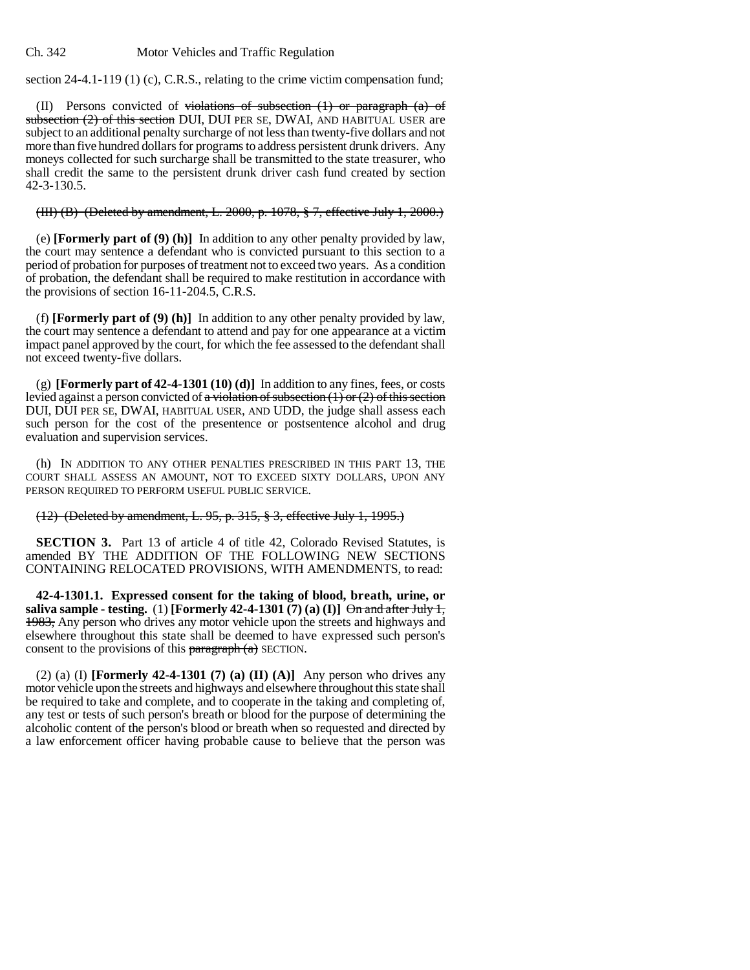section 24-4.1-119 (1) (c), C.R.S., relating to the crime victim compensation fund;

(II) Persons convicted of violations of subsection  $(1)$  or paragraph  $(a)$  of subsection (2) of this section DUI, DUI PER SE, DWAI, AND HABITUAL USER are subject to an additional penalty surcharge of not less than twenty-five dollars and not more than five hundred dollars for programs to address persistent drunk drivers. Any moneys collected for such surcharge shall be transmitted to the state treasurer, who shall credit the same to the persistent drunk driver cash fund created by section 42-3-130.5.

# (III) (B) (Deleted by amendment, L. 2000, p. 1078, § 7, effective July 1, 2000.)

(e) **[Formerly part of (9) (h)]** In addition to any other penalty provided by law, the court may sentence a defendant who is convicted pursuant to this section to a period of probation for purposes of treatment not to exceed two years. As a condition of probation, the defendant shall be required to make restitution in accordance with the provisions of section 16-11-204.5, C.R.S.

(f) **[Formerly part of (9) (h)]** In addition to any other penalty provided by law, the court may sentence a defendant to attend and pay for one appearance at a victim impact panel approved by the court, for which the fee assessed to the defendant shall not exceed twenty-five dollars.

(g) **[Formerly part of 42-4-1301 (10) (d)]** In addition to any fines, fees, or costs levied against a person convicted of a violation of subsection  $(1)$  or  $(2)$  of this section DUI, DUI PER SE, DWAI, HABITUAL USER, AND UDD, the judge shall assess each such person for the cost of the presentence or postsentence alcohol and drug evaluation and supervision services.

(h) IN ADDITION TO ANY OTHER PENALTIES PRESCRIBED IN THIS PART 13, THE COURT SHALL ASSESS AN AMOUNT, NOT TO EXCEED SIXTY DOLLARS, UPON ANY PERSON REQUIRED TO PERFORM USEFUL PUBLIC SERVICE.

## (12) (Deleted by amendment, L. 95, p. 315, § 3, effective July 1, 1995.)

**SECTION 3.** Part 13 of article 4 of title 42, Colorado Revised Statutes, is amended BY THE ADDITION OF THE FOLLOWING NEW SECTIONS CONTAINING RELOCATED PROVISIONS, WITH AMENDMENTS, to read:

**42-4-1301.1. Expressed consent for the taking of blood, breath, urine, or saliva sample - testing.** (1) **[Formerly 42-4-1301** (7) (a) (I)]  $\Theta$ <del>n and after July 1,</del> 1983, Any person who drives any motor vehicle upon the streets and highways and elsewhere throughout this state shall be deemed to have expressed such person's consent to the provisions of this  $\frac{\text{b} \cdot \text{b}}{\text{b} \cdot \text{c}}$  SECTION.

(2) (a) (I) **[Formerly 42-4-1301 (7) (a) (II) (A)]** Any person who drives any motor vehicle upon the streets and highways and elsewhere throughout this state shall be required to take and complete, and to cooperate in the taking and completing of, any test or tests of such person's breath or blood for the purpose of determining the alcoholic content of the person's blood or breath when so requested and directed by a law enforcement officer having probable cause to believe that the person was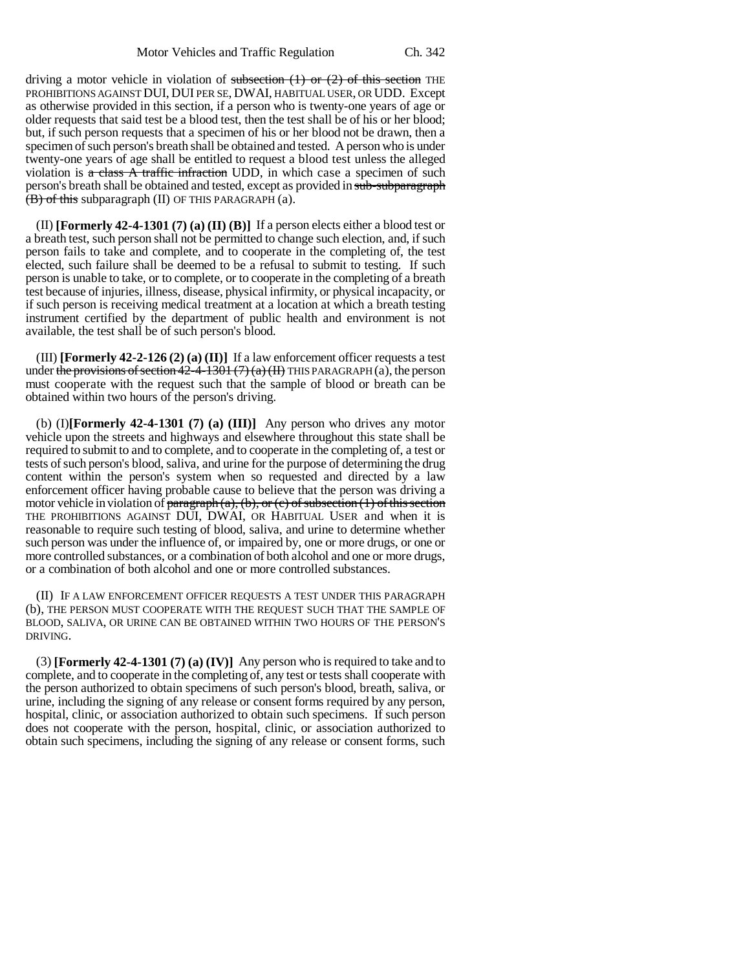driving a motor vehicle in violation of subsection  $(1)$  or  $(2)$  of this section THE PROHIBITIONS AGAINST DUI, DUI PER SE, DWAI, HABITUAL USER, OR UDD. Except as otherwise provided in this section, if a person who is twenty-one years of age or older requests that said test be a blood test, then the test shall be of his or her blood; but, if such person requests that a specimen of his or her blood not be drawn, then a specimen of such person's breath shall be obtained and tested. A person who is under twenty-one years of age shall be entitled to request a blood test unless the alleged violation is  $\alpha$  class A traffic infraction UDD, in which case a specimen of such person's breath shall be obtained and tested, except as provided in sub-subparagraph  $(\overline{B})$  of this subparagraph (II) OF THIS PARAGRAPH (a).

(II) **[Formerly 42-4-1301 (7) (a) (II) (B)]** If a person elects either a blood test or a breath test, such person shall not be permitted to change such election, and, if such person fails to take and complete, and to cooperate in the completing of, the test elected, such failure shall be deemed to be a refusal to submit to testing. If such person is unable to take, or to complete, or to cooperate in the completing of a breath test because of injuries, illness, disease, physical infirmity, or physical incapacity, or if such person is receiving medical treatment at a location at which a breath testing instrument certified by the department of public health and environment is not available, the test shall be of such person's blood.

(III) **[Formerly 42-2-126 (2) (a) (II)]** If a law enforcement officer requests a test under the provisions of section  $42-4-1301(7)(a)(H)$  THIS PARAGRAPH (a), the person must cooperate with the request such that the sample of blood or breath can be obtained within two hours of the person's driving.

(b) (I)**[Formerly 42-4-1301 (7) (a) (III)]** Any person who drives any motor vehicle upon the streets and highways and elsewhere throughout this state shall be required to submit to and to complete, and to cooperate in the completing of, a test or tests of such person's blood, saliva, and urine for the purpose of determining the drug content within the person's system when so requested and directed by a law enforcement officer having probable cause to believe that the person was driving a motor vehicle in violation of paragraph (a), (b), or (c) of subsection (1) of this section THE PROHIBITIONS AGAINST DUI, DWAI, OR HABITUAL USER and when it is reasonable to require such testing of blood, saliva, and urine to determine whether such person was under the influence of, or impaired by, one or more drugs, or one or more controlled substances, or a combination of both alcohol and one or more drugs, or a combination of both alcohol and one or more controlled substances.

(II) IF A LAW ENFORCEMENT OFFICER REQUESTS A TEST UNDER THIS PARAGRAPH (b), THE PERSON MUST COOPERATE WITH THE REQUEST SUCH THAT THE SAMPLE OF BLOOD, SALIVA, OR URINE CAN BE OBTAINED WITHIN TWO HOURS OF THE PERSON'S DRIVING.

(3) **[Formerly 42-4-1301 (7) (a) (IV)]** Any person who is required to take and to complete, and to cooperate in the completing of, any test or tests shall cooperate with the person authorized to obtain specimens of such person's blood, breath, saliva, or urine, including the signing of any release or consent forms required by any person, hospital, clinic, or association authorized to obtain such specimens. If such person does not cooperate with the person, hospital, clinic, or association authorized to obtain such specimens, including the signing of any release or consent forms, such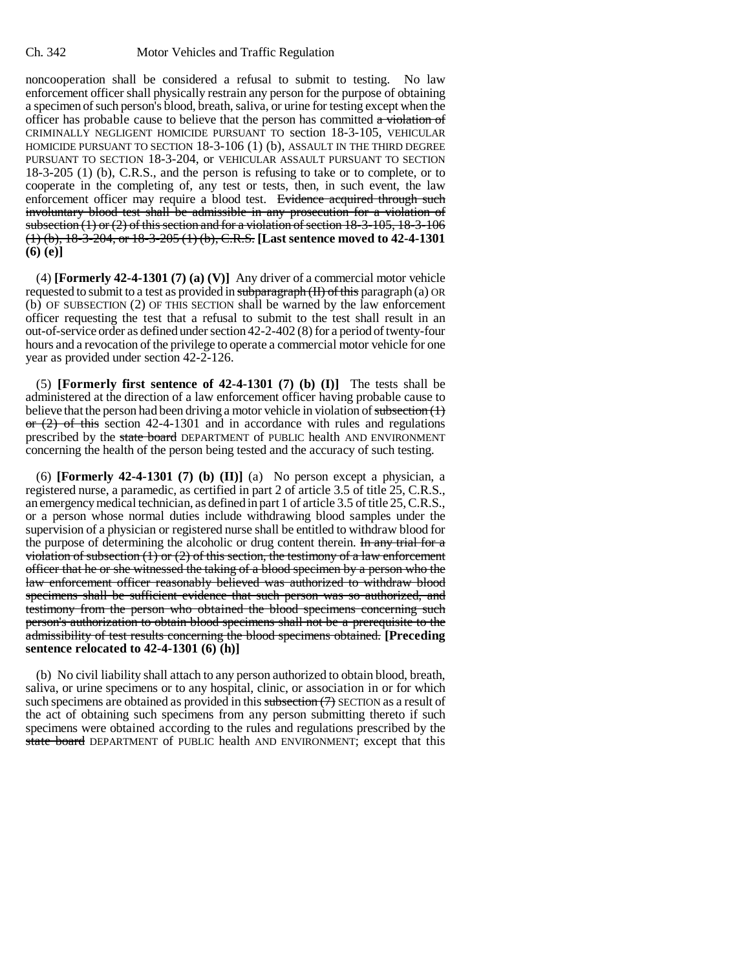noncooperation shall be considered a refusal to submit to testing. No law enforcement officer shall physically restrain any person for the purpose of obtaining a specimen of such person's blood, breath, saliva, or urine for testing except when the officer has probable cause to believe that the person has committed  $\alpha$  violation of CRIMINALLY NEGLIGENT HOMICIDE PURSUANT TO section 18-3-105, VEHICULAR HOMICIDE PURSUANT TO SECTION 18-3-106 (1) (b), ASSAULT IN THE THIRD DEGREE PURSUANT TO SECTION 18-3-204, or VEHICULAR ASSAULT PURSUANT TO SECTION 18-3-205 (1) (b), C.R.S., and the person is refusing to take or to complete, or to cooperate in the completing of, any test or tests, then, in such event, the law enforcement officer may require a blood test. Evidence acquired through such involuntary blood test shall be admissible in any prosecution for a violation of subsection  $(1)$  or  $(2)$  of this section and for a violation of section  $18-3-105$ ,  $18-3-106$ (1) (b), 18-3-204, or 18-3-205 (1) (b), C.R.S. **[Last sentence moved to 42-4-1301 (6) (e)]**

(4) **[Formerly 42-4-1301 (7) (a) (V)]** Any driver of a commercial motor vehicle requested to submit to a test as provided in  $subparagnb(H)$  of this paragraph (a) OR (b) OF SUBSECTION (2) OF THIS SECTION shall be warned by the law enforcement officer requesting the test that a refusal to submit to the test shall result in an out-of-service order as defined under section 42-2-402 (8) for a period of twenty-four hours and a revocation of the privilege to operate a commercial motor vehicle for one year as provided under section 42-2-126.

(5) **[Formerly first sentence of 42-4-1301 (7) (b) (I)]** The tests shall be administered at the direction of a law enforcement officer having probable cause to believe that the person had been driving a motor vehicle in violation of subsection  $(1)$  $\sigma$   $(2)$  of this section 42-4-1301 and in accordance with rules and regulations prescribed by the state board DEPARTMENT of PUBLIC health AND ENVIRONMENT concerning the health of the person being tested and the accuracy of such testing.

(6) **[Formerly 42-4-1301 (7) (b) (II)]** (a) No person except a physician, a registered nurse, a paramedic, as certified in part 2 of article 3.5 of title 25, C.R.S., an emergency medical technician, as defined in part 1 of article 3.5 of title 25, C.R.S., or a person whose normal duties include withdrawing blood samples under the supervision of a physician or registered nurse shall be entitled to withdraw blood for the purpose of determining the alcoholic or drug content therein. In any trial for a violation of subsection  $(1)$  or  $(2)$  of this section, the testimony of a law enforcement officer that he or she witnessed the taking of a blood specimen by a person who the law enforcement officer reasonably believed was authorized to withdraw blood specimens shall be sufficient evidence that such person was so authorized, and testimony from the person who obtained the blood specimens concerning such person's authorization to obtain blood specimens shall not be a prerequisite to the admissibility of test results concerning the blood specimens obtained. **[Preceding sentence relocated to 42-4-1301 (6) (h)]**

(b) No civil liability shall attach to any person authorized to obtain blood, breath, saliva, or urine specimens or to any hospital, clinic, or association in or for which such specimens are obtained as provided in this subsection  $(7)$  SECTION as a result of the act of obtaining such specimens from any person submitting thereto if such specimens were obtained according to the rules and regulations prescribed by the state board DEPARTMENT of PUBLIC health AND ENVIRONMENT; except that this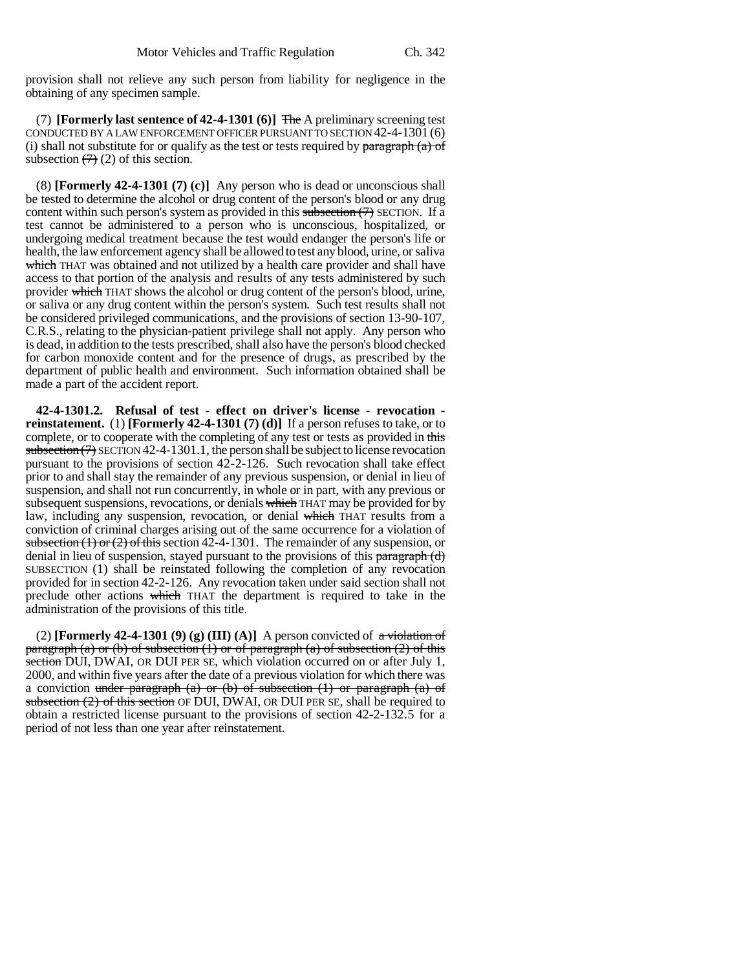provision shall not relieve any such person from liability for negligence in the obtaining of any specimen sample.

(7) **[Formerly last sentence of 42-4-1301 (6)]** The A preliminary screening test CONDUCTED BY A LAW ENFORCEMENT OFFICER PURSUANT TO SECTION 42-4-1301 (6) (i) shall not substitute for or qualify as the test or tests required by  $\frac{\partial^2 f}{\partial x \partial y}$  (a) of subsection  $(7)(2)$  of this section.

(8) **[Formerly 42-4-1301 (7) (c)]** Any person who is dead or unconscious shall be tested to determine the alcohol or drug content of the person's blood or any drug content within such person's system as provided in this subsection  $(7)$  SECTION. If a test cannot be administered to a person who is unconscious, hospitalized, or undergoing medical treatment because the test would endanger the person's life or health, the law enforcement agency shall be allowed to test any blood, urine, or saliva which THAT was obtained and not utilized by a health care provider and shall have access to that portion of the analysis and results of any tests administered by such provider which THAT shows the alcohol or drug content of the person's blood, urine, or saliva or any drug content within the person's system. Such test results shall not be considered privileged communications, and the provisions of section 13-90-107, C.R.S., relating to the physician-patient privilege shall not apply. Any person who is dead, in addition to the tests prescribed, shall also have the person's blood checked for carbon monoxide content and for the presence of drugs, as prescribed by the department of public health and environment. Such information obtained shall be made a part of the accident report.

**42-4-1301.2. Refusal of test - effect on driver's license - revocation reinstatement.** (1) **[Formerly 42-4-1301 (7) (d)]** If a person refuses to take, or to complete, or to cooperate with the completing of any test or tests as provided in this subsection  $(7)$  SECTION 42-4-1301.1, the person shall be subject to license revocation pursuant to the provisions of section 42-2-126. Such revocation shall take effect prior to and shall stay the remainder of any previous suspension, or denial in lieu of suspension, and shall not run concurrently, in whole or in part, with any previous or subsequent suspensions, revocations, or denials which THAT may be provided for by law, including any suspension, revocation, or denial which THAT results from a conviction of criminal charges arising out of the same occurrence for a violation of subsection (1) or (2) of this section 42-4-1301. The remainder of any suspension, or denial in lieu of suspension, stayed pursuant to the provisions of this paragraph (d) SUBSECTION (1) shall be reinstated following the completion of any revocation provided for in section 42-2-126. Any revocation taken under said section shall not preclude other actions which THAT the department is required to take in the administration of the provisions of this title.

(2) **[Formerly 42-4-1301 (9) (g) (III) (A)]** A person convicted of  $\alpha$  violation of paragraph (a) or (b) of subsection (1) or of paragraph (a) of subsection (2) of this section DUI, DWAI, OR DUI PER SE, which violation occurred on or after July 1, 2000, and within five years after the date of a previous violation for which there was a conviction under paragraph (a) or (b) of subsection  $(1)$  or paragraph (a) of subsection (2) of this section OF DUI, DWAI, OR DUI PER SE, shall be required to obtain a restricted license pursuant to the provisions of section 42-2-132.5 for a period of not less than one year after reinstatement.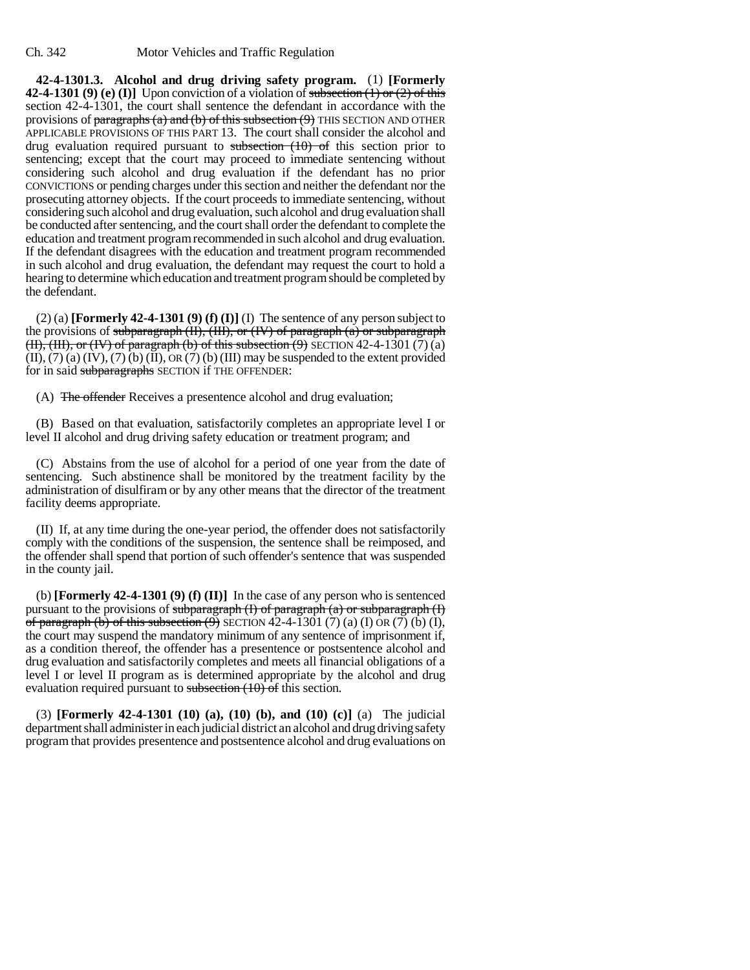**42-4-1301.3. Alcohol and drug driving safety program.** (1) **[Formerly 42-4-1301 (9) (e) (I)]** Upon conviction of a violation of subsection  $(1)$  or  $(2)$  of this section 42-4-1301, the court shall sentence the defendant in accordance with the provisions of  $\frac{\text{parameters}}{\text{parameters}}$  and  $\frac{\text{obj}}{\text{cost}}$  of this subsection  $\frac{\text{obj}}{\text{cost}}$  THIS SECTION AND OTHER APPLICABLE PROVISIONS OF THIS PART 13. The court shall consider the alcohol and drug evaluation required pursuant to subsection  $(10)$  of this section prior to sentencing; except that the court may proceed to immediate sentencing without considering such alcohol and drug evaluation if the defendant has no prior CONVICTIONS or pending charges under this section and neither the defendant nor the prosecuting attorney objects. If the court proceeds to immediate sentencing, without considering such alcohol and drug evaluation, such alcohol and drug evaluation shall be conducted after sentencing, and the court shall order the defendant to complete the education and treatment program recommended in such alcohol and drug evaluation. If the defendant disagrees with the education and treatment program recommended in such alcohol and drug evaluation, the defendant may request the court to hold a hearing to determine which education and treatment program should be completed by the defendant.

(2) (a) **[Formerly 42-4-1301 (9) (f) (I)]** (I) The sentence of any person subject to the provisions of subparagraph  $(H)$ ,  $(H)$ , or  $(W)$  of paragraph  $(a)$  or subparagraph  $(H)$ ,  $(H)$ , or  $(W)$  of paragraph (b) of this subsection  $(9)$  SECTION 42-4-1301 (7) (a)  $(II)$ ,  $(7)$  (a)  $(IV)$ ,  $(7)$  (b)  $(II)$ ,  $OR$   $(7)$  (b)  $(III)$  may be suspended to the extent provided for in said subparagraphs SECTION if THE OFFENDER:

(A) The offender Receives a presentence alcohol and drug evaluation;

(B) Based on that evaluation, satisfactorily completes an appropriate level I or level II alcohol and drug driving safety education or treatment program; and

(C) Abstains from the use of alcohol for a period of one year from the date of sentencing. Such abstinence shall be monitored by the treatment facility by the administration of disulfiram or by any other means that the director of the treatment facility deems appropriate.

(II) If, at any time during the one-year period, the offender does not satisfactorily comply with the conditions of the suspension, the sentence shall be reimposed, and the offender shall spend that portion of such offender's sentence that was suspended in the county jail.

(b) **[Formerly 42-4-1301 (9) (f) (II)]** In the case of any person who is sentenced pursuant to the provisions of subparagraph  $(I)$  of paragraph  $(a)$  or subparagraph  $(I)$ of paragraph (b) of this subsection  $\overline{9}$  SECTION 42-4-1301 (7) (a) (I) OR (7) (b) (I), the court may suspend the mandatory minimum of any sentence of imprisonment if, as a condition thereof, the offender has a presentence or postsentence alcohol and drug evaluation and satisfactorily completes and meets all financial obligations of a level I or level II program as is determined appropriate by the alcohol and drug evaluation required pursuant to subsection  $(10)$  of this section.

(3) **[Formerly 42-4-1301 (10) (a), (10) (b), and (10) (c)]** (a) The judicial department shall administer in each judicial district an alcohol and drug driving safety program that provides presentence and postsentence alcohol and drug evaluations on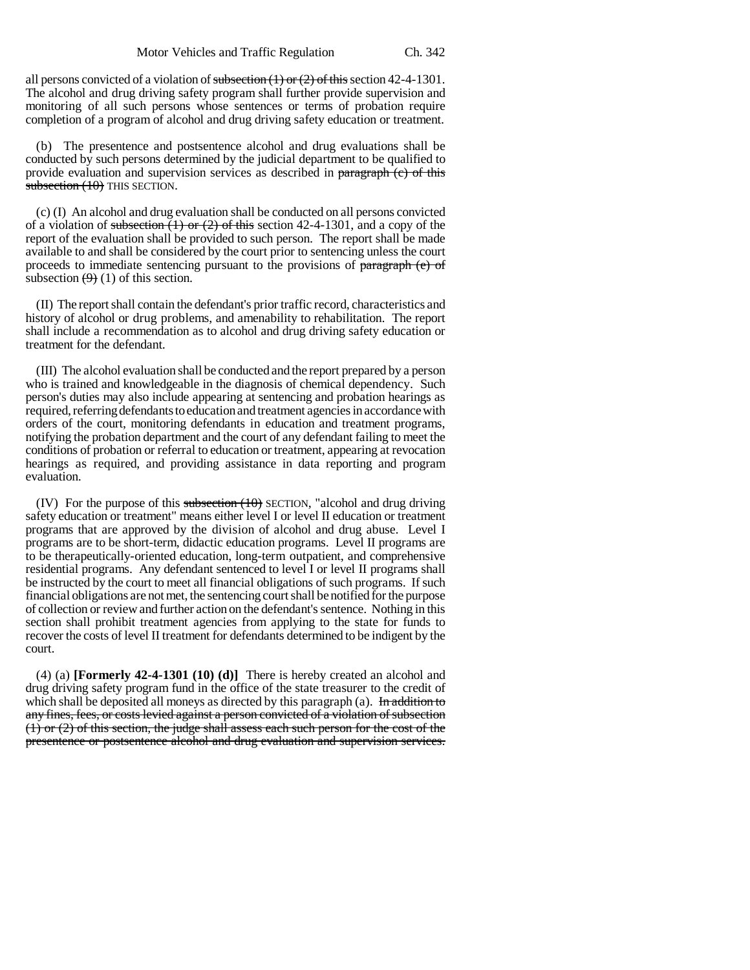all persons convicted of a violation of subsection  $(1)$  or  $(2)$  of this section 42-4-1301. The alcohol and drug driving safety program shall further provide supervision and monitoring of all such persons whose sentences or terms of probation require completion of a program of alcohol and drug driving safety education or treatment.

(b) The presentence and postsentence alcohol and drug evaluations shall be conducted by such persons determined by the judicial department to be qualified to provide evaluation and supervision services as described in paragraph (c) of this subsection  $(10)$  THIS SECTION.

(c) (I) An alcohol and drug evaluation shall be conducted on all persons convicted of a violation of subsection  $(1)$  or  $(2)$  of this section 42-4-1301, and a copy of the report of the evaluation shall be provided to such person. The report shall be made available to and shall be considered by the court prior to sentencing unless the court proceeds to immediate sentencing pursuant to the provisions of paragraph (e) of subsection  $(9)(1)$  of this section.

(II) The report shall contain the defendant's prior traffic record, characteristics and history of alcohol or drug problems, and amenability to rehabilitation. The report shall include a recommendation as to alcohol and drug driving safety education or treatment for the defendant.

(III) The alcohol evaluation shall be conducted and the report prepared by a person who is trained and knowledgeable in the diagnosis of chemical dependency. Such person's duties may also include appearing at sentencing and probation hearings as required, referring defendants to education and treatment agencies in accordance with orders of the court, monitoring defendants in education and treatment programs, notifying the probation department and the court of any defendant failing to meet the conditions of probation or referral to education or treatment, appearing at revocation hearings as required, and providing assistance in data reporting and program evaluation.

(IV) For the purpose of this subsection  $(10)$  SECTION, "alcohol and drug driving safety education or treatment" means either level I or level II education or treatment programs that are approved by the division of alcohol and drug abuse. Level I programs are to be short-term, didactic education programs. Level II programs are to be therapeutically-oriented education, long-term outpatient, and comprehensive residential programs. Any defendant sentenced to level I or level II programs shall be instructed by the court to meet all financial obligations of such programs. If such financial obligations are not met, the sentencing court shall be notified for the purpose of collection or review and further action on the defendant's sentence. Nothing in this section shall prohibit treatment agencies from applying to the state for funds to recover the costs of level II treatment for defendants determined to be indigent by the court.

(4) (a) **[Formerly 42-4-1301 (10) (d)]** There is hereby created an alcohol and drug driving safety program fund in the office of the state treasurer to the credit of which shall be deposited all moneys as directed by this paragraph (a). In addition to any fines, fees, or costs levied against a person convicted of a violation of subsection (1) or (2) of this section, the judge shall assess each such person for the cost of the presentence or postsentence alcohol and drug evaluation and supervision services.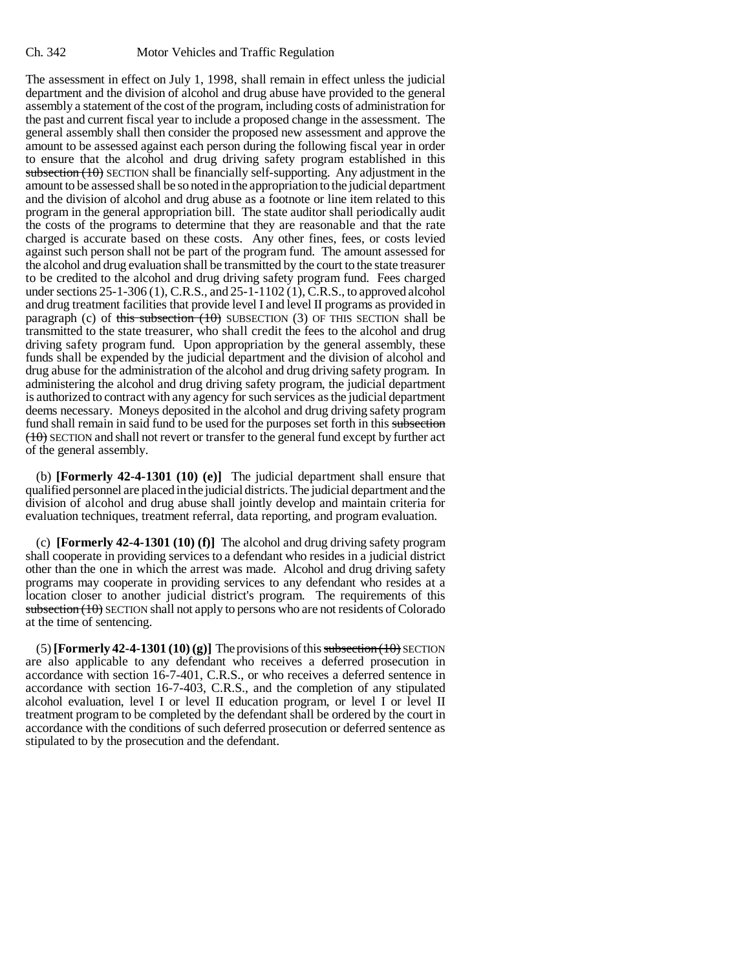The assessment in effect on July 1, 1998, shall remain in effect unless the judicial department and the division of alcohol and drug abuse have provided to the general assembly a statement of the cost of the program, including costs of administration for the past and current fiscal year to include a proposed change in the assessment. The general assembly shall then consider the proposed new assessment and approve the amount to be assessed against each person during the following fiscal year in order to ensure that the alcohol and drug driving safety program established in this subsection  $(10)$  SECTION shall be financially self-supporting. Any adjustment in the amount to be assessed shall be so noted in the appropriation to the judicial department and the division of alcohol and drug abuse as a footnote or line item related to this program in the general appropriation bill. The state auditor shall periodically audit the costs of the programs to determine that they are reasonable and that the rate charged is accurate based on these costs. Any other fines, fees, or costs levied against such person shall not be part of the program fund. The amount assessed for the alcohol and drug evaluation shall be transmitted by the court to the state treasurer to be credited to the alcohol and drug driving safety program fund. Fees charged under sections 25-1-306 (1), C.R.S., and 25-1-1102 (1), C.R.S., to approved alcohol and drug treatment facilities that provide level I and level II programs as provided in paragraph (c) of this subsection  $(10)$  SUBSECTION (3) OF THIS SECTION shall be transmitted to the state treasurer, who shall credit the fees to the alcohol and drug driving safety program fund. Upon appropriation by the general assembly, these funds shall be expended by the judicial department and the division of alcohol and drug abuse for the administration of the alcohol and drug driving safety program. In administering the alcohol and drug driving safety program, the judicial department is authorized to contract with any agency for such services as the judicial department deems necessary. Moneys deposited in the alcohol and drug driving safety program fund shall remain in said fund to be used for the purposes set forth in this subsection  $(10)$  SECTION and shall not revert or transfer to the general fund except by further act of the general assembly.

(b) **[Formerly 42-4-1301 (10) (e)]** The judicial department shall ensure that qualified personnel are placed in the judicial districts. The judicial department and the division of alcohol and drug abuse shall jointly develop and maintain criteria for evaluation techniques, treatment referral, data reporting, and program evaluation.

(c) **[Formerly 42-4-1301 (10) (f)]** The alcohol and drug driving safety program shall cooperate in providing services to a defendant who resides in a judicial district other than the one in which the arrest was made. Alcohol and drug driving safety programs may cooperate in providing services to any defendant who resides at a location closer to another judicial district's program. The requirements of this subsection (10) SECTION shall not apply to persons who are not residents of Colorado at the time of sentencing.

 $(5)$  **[Formerly 42-4-1301 (10) (g)]** The provisions of this subsection  $(10)$  SECTION are also applicable to any defendant who receives a deferred prosecution in accordance with section 16-7-401, C.R.S., or who receives a deferred sentence in accordance with section 16-7-403, C.R.S., and the completion of any stipulated alcohol evaluation, level I or level II education program, or level I or level II treatment program to be completed by the defendant shall be ordered by the court in accordance with the conditions of such deferred prosecution or deferred sentence as stipulated to by the prosecution and the defendant.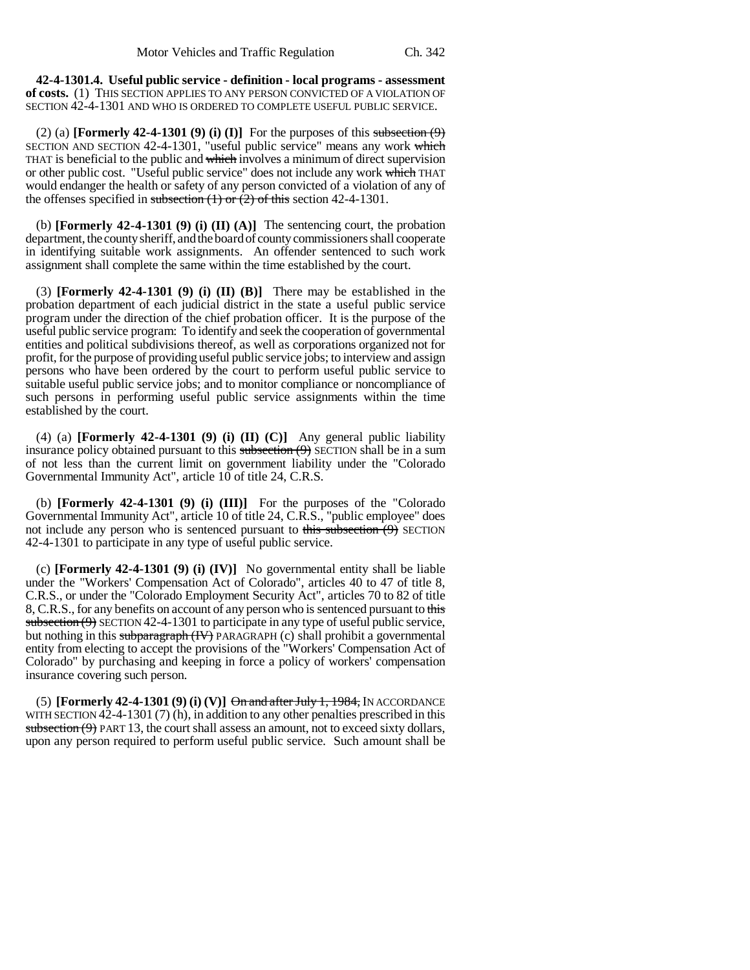**42-4-1301.4. Useful public service - definition - local programs - assessment of costs.** (1) THIS SECTION APPLIES TO ANY PERSON CONVICTED OF A VIOLATION OF SECTION 42-4-1301 AND WHO IS ORDERED TO COMPLETE USEFUL PUBLIC SERVICE.

(2) (a) **[Formerly 42-4-1301 (9) (i) (I)]** For the purposes of this subsection  $(9)$ SECTION AND SECTION 42-4-1301, "useful public service" means any work which THAT is beneficial to the public and which involves a minimum of direct supervision or other public cost. "Useful public service" does not include any work which THAT would endanger the health or safety of any person convicted of a violation of any of the offenses specified in subsection  $(1)$  or  $(2)$  of this section 42-4-1301.

(b) **[Formerly 42-4-1301 (9) (i) (II) (A)]** The sentencing court, the probation department, the county sheriff, and the board of county commissioners shall cooperate in identifying suitable work assignments. An offender sentenced to such work assignment shall complete the same within the time established by the court.

(3) **[Formerly 42-4-1301 (9) (i) (II) (B)]** There may be established in the probation department of each judicial district in the state a useful public service program under the direction of the chief probation officer. It is the purpose of the useful public service program: To identify and seek the cooperation of governmental entities and political subdivisions thereof, as well as corporations organized not for profit, for the purpose of providing useful public service jobs; to interview and assign persons who have been ordered by the court to perform useful public service to suitable useful public service jobs; and to monitor compliance or noncompliance of such persons in performing useful public service assignments within the time established by the court.

(4) (a) **[Formerly 42-4-1301 (9) (i) (II) (C)]** Any general public liability insurance policy obtained pursuant to this subsection  $(9)$  SECTION shall be in a sum of not less than the current limit on government liability under the "Colorado Governmental Immunity Act", article 10 of title 24, C.R.S.

(b) **[Formerly 42-4-1301 (9) (i) (III)]** For the purposes of the "Colorado Governmental Immunity Act", article 10 of title 24, C.R.S., "public employee" does not include any person who is sentenced pursuant to this subsection  $(9)$  SECTION 42-4-1301 to participate in any type of useful public service.

(c) **[Formerly 42-4-1301 (9) (i) (IV)]** No governmental entity shall be liable under the "Workers' Compensation Act of Colorado", articles 40 to 47 of title 8, C.R.S., or under the "Colorado Employment Security Act", articles 70 to 82 of title 8, C.R.S., for any benefits on account of any person who is sentenced pursuant to this subsection  $(9)$  SECTION 42-4-1301 to participate in any type of useful public service, but nothing in this subparagraph (IV) PARAGRAPH (c) shall prohibit a governmental entity from electing to accept the provisions of the "Workers' Compensation Act of Colorado" by purchasing and keeping in force a policy of workers' compensation insurance covering such person.

(5) **[Formerly 42-4-1301 (9) (i) (V)]** On and after July 1, 1984, IN ACCORDANCE WITH SECTION 42-4-1301 (7) (h), in addition to any other penalties prescribed in this subsection  $(9)$  PART 13, the court shall assess an amount, not to exceed sixty dollars, upon any person required to perform useful public service. Such amount shall be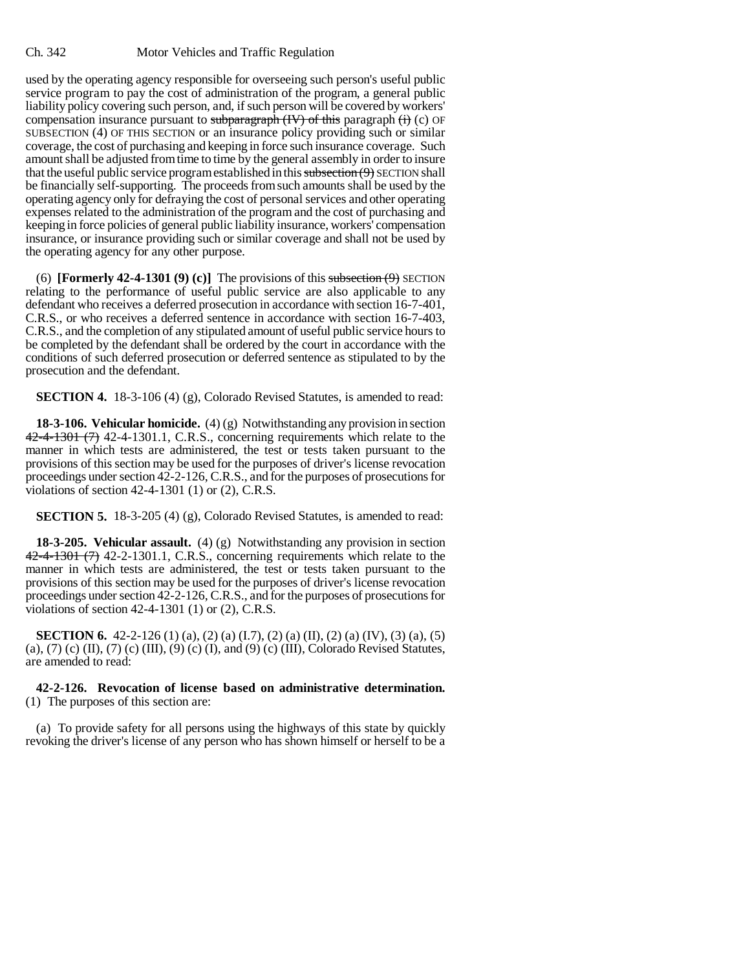used by the operating agency responsible for overseeing such person's useful public service program to pay the cost of administration of the program, a general public liability policy covering such person, and, if such person will be covered by workers' compensation insurance pursuant to subparagraph  $(W)$  of this paragraph  $(i)$  (c) OF SUBSECTION (4) OF THIS SECTION or an insurance policy providing such or similar coverage, the cost of purchasing and keeping in force such insurance coverage. Such amount shall be adjusted from time to time by the general assembly in order to insure that the useful public service program established in this subsection  $(9)$  SECTION shall be financially self-supporting. The proceeds from such amounts shall be used by the operating agency only for defraying the cost of personal services and other operating expenses related to the administration of the program and the cost of purchasing and keeping in force policies of general public liability insurance, workers' compensation insurance, or insurance providing such or similar coverage and shall not be used by the operating agency for any other purpose.

(6) **[Formerly 42-4-1301 (9) (c)]** The provisions of this subsection  $(9)$  SECTION relating to the performance of useful public service are also applicable to any defendant who receives a deferred prosecution in accordance with section 16-7-401, C.R.S., or who receives a deferred sentence in accordance with section 16-7-403, C.R.S., and the completion of any stipulated amount of useful public service hours to be completed by the defendant shall be ordered by the court in accordance with the conditions of such deferred prosecution or deferred sentence as stipulated to by the prosecution and the defendant.

**SECTION 4.** 18-3-106 (4) (g), Colorado Revised Statutes, is amended to read:

**18-3-106. Vehicular homicide.** (4) (g) Notwithstanding any provision in section  $42-4-1301$   $(7)$  42-4-1301.1, C.R.S., concerning requirements which relate to the manner in which tests are administered, the test or tests taken pursuant to the provisions of this section may be used for the purposes of driver's license revocation proceedings under section 42-2-126, C.R.S., and for the purposes of prosecutions for violations of section 42-4-1301 (1) or (2), C.R.S.

**SECTION 5.** 18-3-205 (4) (g), Colorado Revised Statutes, is amended to read:

**18-3-205. Vehicular assault.** (4) (g) Notwithstanding any provision in section 42-4-1301 (7) 42-2-1301.1, C.R.S., concerning requirements which relate to the manner in which tests are administered, the test or tests taken pursuant to the provisions of this section may be used for the purposes of driver's license revocation proceedings under section 42-2-126, C.R.S., and for the purposes of prosecutions for violations of section 42-4-1301 (1) or (2), C.R.S.

**SECTION 6.** 42-2-126 (1) (a), (2) (a) (I.7), (2) (a) (II), (2) (a) (IV), (3) (a), (5) (a), (7) (c) (II), (7) (c) (III), (9) (c) (I), and (9) (c) (III), Colorado Revised Statutes, are amended to read:

# **42-2-126. Revocation of license based on administrative determination.** (1) The purposes of this section are:

(a) To provide safety for all persons using the highways of this state by quickly revoking the driver's license of any person who has shown himself or herself to be a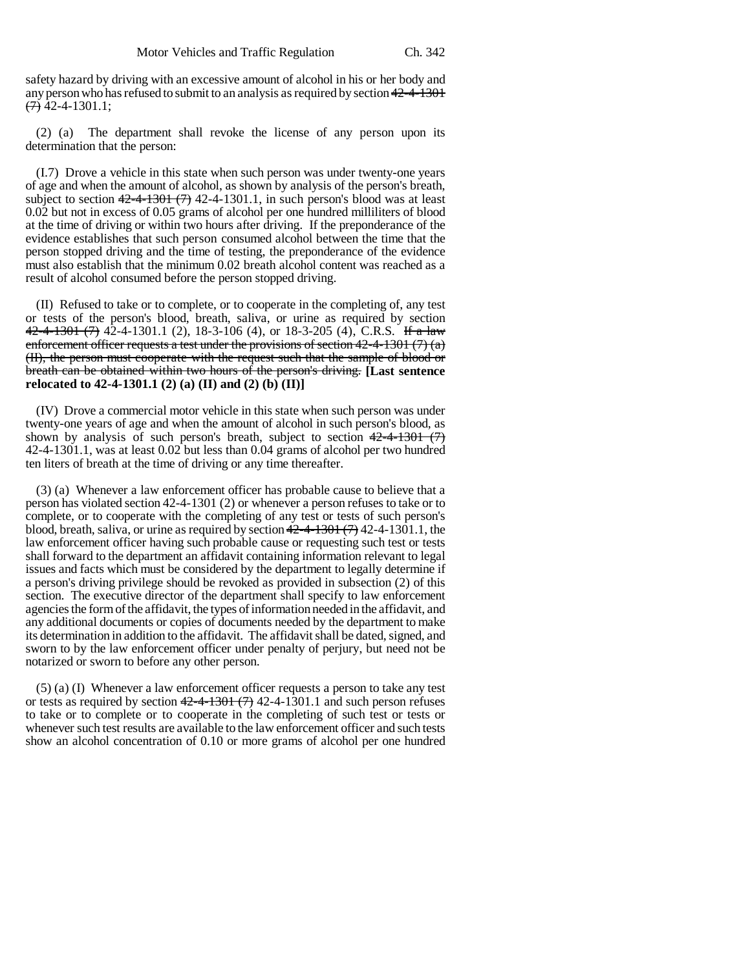safety hazard by driving with an excessive amount of alcohol in his or her body and any person who has refused to submit to an analysis as required by section 42-4-1301  $(7)$  42-4-1301.1;

(2) (a) The department shall revoke the license of any person upon its determination that the person:

(I.7) Drove a vehicle in this state when such person was under twenty-one years of age and when the amount of alcohol, as shown by analysis of the person's breath, subject to section  $42-4-1301$  (7) 42-4-1301.1, in such person's blood was at least 0.02 but not in excess of 0.05 grams of alcohol per one hundred milliliters of blood at the time of driving or within two hours after driving. If the preponderance of the evidence establishes that such person consumed alcohol between the time that the person stopped driving and the time of testing, the preponderance of the evidence must also establish that the minimum 0.02 breath alcohol content was reached as a result of alcohol consumed before the person stopped driving.

(II) Refused to take or to complete, or to cooperate in the completing of, any test or tests of the person's blood, breath, saliva, or urine as required by section  $42-4-1301$  (7) 42-4-1301.1 (2), 18-3-106 (4), or 18-3-205 (4), C.R.S. If a law enforcement officer requests a test under the provisions of section  $42-4-1301(7)(a)$ (II), the person must cooperate with the request such that the sample of blood or breath can be obtained within two hours of the person's driving. **[Last sentence relocated to 42-4-1301.1 (2) (a) (II) and (2) (b) (II)]**

(IV) Drove a commercial motor vehicle in this state when such person was under twenty-one years of age and when the amount of alcohol in such person's blood, as shown by analysis of such person's breath, subject to section  $42-4-1301$  (7) 42-4-1301.1, was at least 0.02 but less than 0.04 grams of alcohol per two hundred ten liters of breath at the time of driving or any time thereafter.

(3) (a) Whenever a law enforcement officer has probable cause to believe that a person has violated section 42-4-1301 (2) or whenever a person refuses to take or to complete, or to cooperate with the completing of any test or tests of such person's blood, breath, saliva, or urine as required by section  $42-4-1301$  (7) 42-4-1301.1, the law enforcement officer having such probable cause or requesting such test or tests shall forward to the department an affidavit containing information relevant to legal issues and facts which must be considered by the department to legally determine if a person's driving privilege should be revoked as provided in subsection (2) of this section. The executive director of the department shall specify to law enforcement agencies the form of the affidavit, the types of information needed in the affidavit, and any additional documents or copies of documents needed by the department to make its determination in addition to the affidavit. The affidavit shall be dated, signed, and sworn to by the law enforcement officer under penalty of perjury, but need not be notarized or sworn to before any other person.

(5) (a) (I) Whenever a law enforcement officer requests a person to take any test or tests as required by section  $42-4-1301$  (7) 42-4-1301.1 and such person refuses to take or to complete or to cooperate in the completing of such test or tests or whenever such test results are available to the law enforcement officer and such tests show an alcohol concentration of 0.10 or more grams of alcohol per one hundred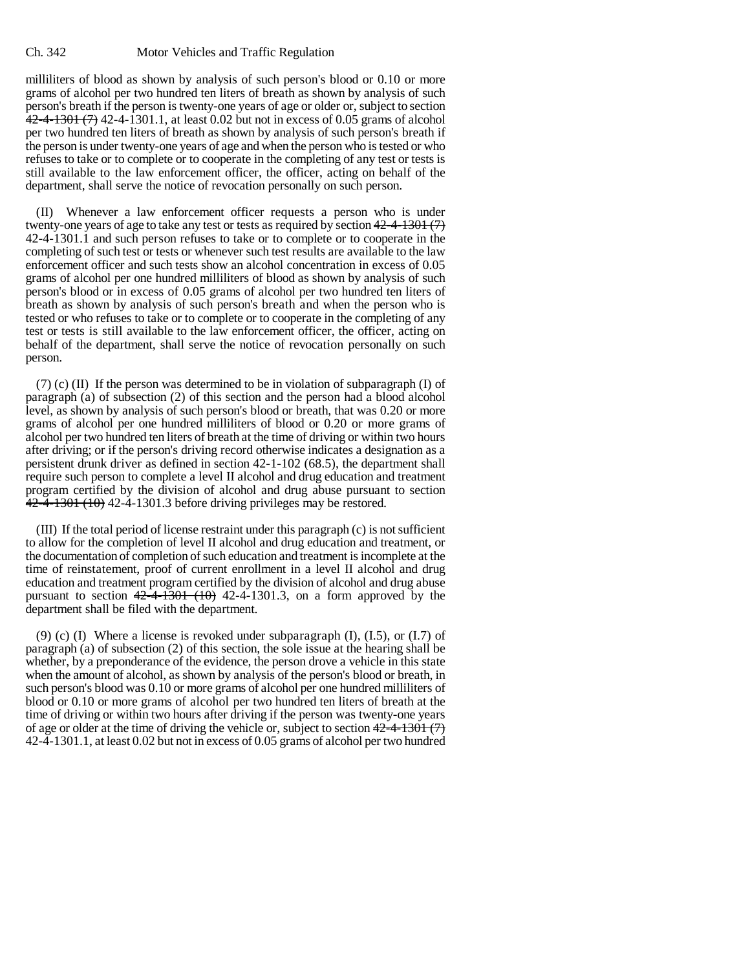milliliters of blood as shown by analysis of such person's blood or 0.10 or more grams of alcohol per two hundred ten liters of breath as shown by analysis of such person's breath if the person is twenty-one years of age or older or, subject to section  $42-4-1301$  (7) 42-4-1301.1, at least 0.02 but not in excess of 0.05 grams of alcohol per two hundred ten liters of breath as shown by analysis of such person's breath if the person is under twenty-one years of age and when the person who is tested or who refuses to take or to complete or to cooperate in the completing of any test or tests is still available to the law enforcement officer, the officer, acting on behalf of the department, shall serve the notice of revocation personally on such person.

(II) Whenever a law enforcement officer requests a person who is under twenty-one years of age to take any test or tests as required by section  $42-4-1301(7)$ 42-4-1301.1 and such person refuses to take or to complete or to cooperate in the completing of such test or tests or whenever such test results are available to the law enforcement officer and such tests show an alcohol concentration in excess of 0.05 grams of alcohol per one hundred milliliters of blood as shown by analysis of such person's blood or in excess of 0.05 grams of alcohol per two hundred ten liters of breath as shown by analysis of such person's breath and when the person who is tested or who refuses to take or to complete or to cooperate in the completing of any test or tests is still available to the law enforcement officer, the officer, acting on behalf of the department, shall serve the notice of revocation personally on such person.

(7) (c) (II) If the person was determined to be in violation of subparagraph (I) of paragraph (a) of subsection (2) of this section and the person had a blood alcohol level, as shown by analysis of such person's blood or breath, that was 0.20 or more grams of alcohol per one hundred milliliters of blood or 0.20 or more grams of alcohol per two hundred ten liters of breath at the time of driving or within two hours after driving; or if the person's driving record otherwise indicates a designation as a persistent drunk driver as defined in section 42-1-102 (68.5), the department shall require such person to complete a level II alcohol and drug education and treatment program certified by the division of alcohol and drug abuse pursuant to section  $42-4-1301(10)$  42-4-1301.3 before driving privileges may be restored.

(III) If the total period of license restraint under this paragraph (c) is not sufficient to allow for the completion of level II alcohol and drug education and treatment, or the documentation of completion of such education and treatment is incomplete at the time of reinstatement, proof of current enrollment in a level II alcohol and drug education and treatment program certified by the division of alcohol and drug abuse pursuant to section  $42\overline{-4}$  $\overline{+1301}$   $(10)$  42-4 $\overline{-1301}$ .3, on a form approved by the department shall be filed with the department.

(9) (c) (I) Where a license is revoked under subparagraph  $(I)$ ,  $(I.5)$ , or  $(I.7)$  of paragraph (a) of subsection (2) of this section, the sole issue at the hearing shall be whether, by a preponderance of the evidence, the person drove a vehicle in this state when the amount of alcohol, as shown by analysis of the person's blood or breath, in such person's blood was 0.10 or more grams of alcohol per one hundred milliliters of blood or 0.10 or more grams of alcohol per two hundred ten liters of breath at the time of driving or within two hours after driving if the person was twenty-one years of age or older at the time of driving the vehicle or, subject to section  $42-4-1301$  (7) 42-4-1301.1, at least 0.02 but not in excess of 0.05 grams of alcohol per two hundred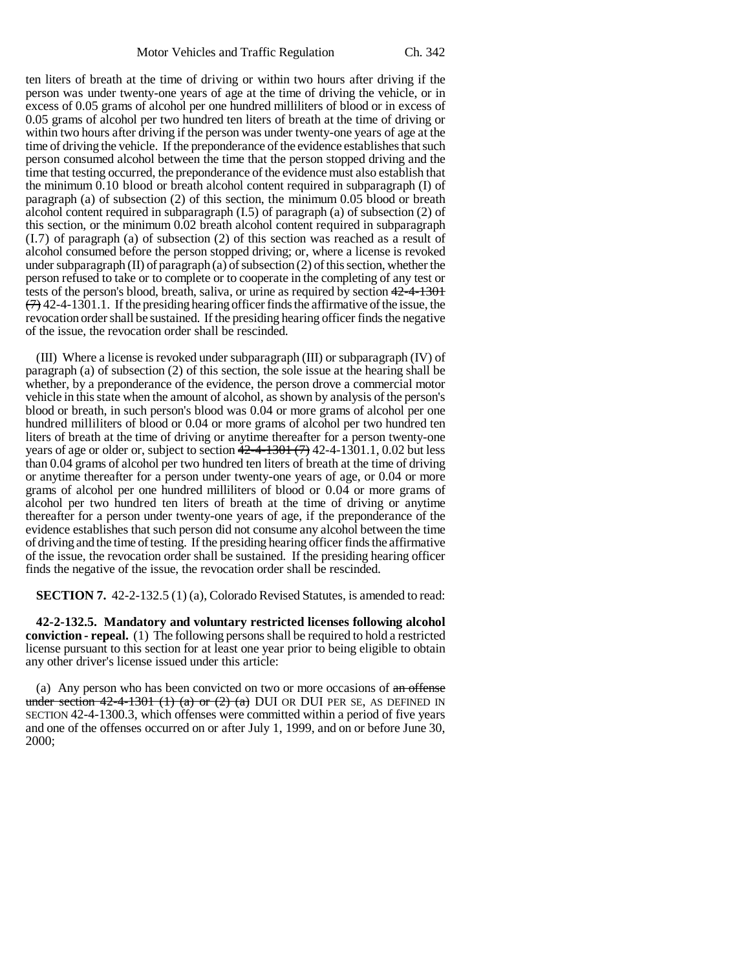ten liters of breath at the time of driving or within two hours after driving if the person was under twenty-one years of age at the time of driving the vehicle, or in excess of 0.05 grams of alcohol per one hundred milliliters of blood or in excess of 0.05 grams of alcohol per two hundred ten liters of breath at the time of driving or within two hours after driving if the person was under twenty-one years of age at the time of driving the vehicle. If the preponderance of the evidence establishes that such person consumed alcohol between the time that the person stopped driving and the time that testing occurred, the preponderance of the evidence must also establish that the minimum 0.10 blood or breath alcohol content required in subparagraph (I) of paragraph (a) of subsection (2) of this section, the minimum 0.05 blood or breath alcohol content required in subparagraph (I.5) of paragraph (a) of subsection (2) of this section, or the minimum 0.02 breath alcohol content required in subparagraph (I.7) of paragraph (a) of subsection (2) of this section was reached as a result of alcohol consumed before the person stopped driving; or, where a license is revoked under subparagraph (II) of paragraph (a) of subsection (2) of this section, whether the person refused to take or to complete or to cooperate in the completing of any test or tests of the person's blood, breath, saliva, or urine as required by section 42-4-1301  $(7)$  42-4-1301.1. If the presiding hearing officer finds the affirmative of the issue, the revocation order shall be sustained. If the presiding hearing officer finds the negative of the issue, the revocation order shall be rescinded.

(III) Where a license is revoked under subparagraph (III) or subparagraph (IV) of paragraph (a) of subsection (2) of this section, the sole issue at the hearing shall be whether, by a preponderance of the evidence, the person drove a commercial motor vehicle in this state when the amount of alcohol, as shown by analysis of the person's blood or breath, in such person's blood was 0.04 or more grams of alcohol per one hundred milliliters of blood or 0.04 or more grams of alcohol per two hundred ten liters of breath at the time of driving or anytime thereafter for a person twenty-one years of age or older or, subject to section  $42-4-1301$   $(7)$  42-4-1301.1, 0.02 but less than 0.04 grams of alcohol per two hundred ten liters of breath at the time of driving or anytime thereafter for a person under twenty-one years of age, or 0.04 or more grams of alcohol per one hundred milliliters of blood or 0.04 or more grams of alcohol per two hundred ten liters of breath at the time of driving or anytime thereafter for a person under twenty-one years of age, if the preponderance of the evidence establishes that such person did not consume any alcohol between the time of driving and the time of testing. If the presiding hearing officer finds the affirmative of the issue, the revocation order shall be sustained. If the presiding hearing officer finds the negative of the issue, the revocation order shall be rescinded.

**SECTION 7.** 42-2-132.5 (1) (a), Colorado Revised Statutes, is amended to read:

**42-2-132.5. Mandatory and voluntary restricted licenses following alcohol conviction - repeal.** (1) The following persons shall be required to hold a restricted license pursuant to this section for at least one year prior to being eligible to obtain any other driver's license issued under this article:

(a) Any person who has been convicted on two or more occasions of an offense under section  $42-4-1301$  (1) (a) or (2) (a) DUI OR DUI PER SE, AS DEFINED IN SECTION 42-4-1300.3, which offenses were committed within a period of five years and one of the offenses occurred on or after July 1, 1999, and on or before June 30, 2000;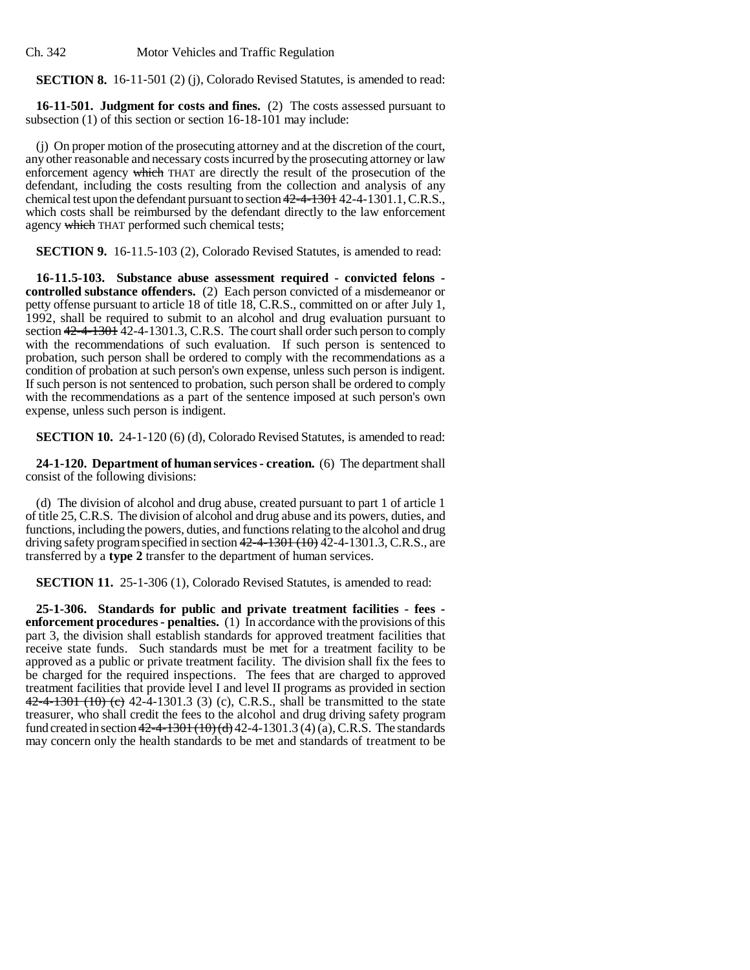Ch. 342 Motor Vehicles and Traffic Regulation

**SECTION 8.** 16-11-501 (2) (j), Colorado Revised Statutes, is amended to read:

**16-11-501. Judgment for costs and fines.** (2) The costs assessed pursuant to subsection (1) of this section or section 16-18-101 may include:

(j) On proper motion of the prosecuting attorney and at the discretion of the court, any other reasonable and necessary costs incurred by the prosecuting attorney or law enforcement agency which THAT are directly the result of the prosecution of the defendant, including the costs resulting from the collection and analysis of any chemical test upon the defendant pursuant to section 42-4-1301 42-4-1301.1, C.R.S., which costs shall be reimbursed by the defendant directly to the law enforcement agency which THAT performed such chemical tests;

**SECTION 9.** 16-11.5-103 (2), Colorado Revised Statutes, is amended to read:

**16-11.5-103. Substance abuse assessment required - convicted felons controlled substance offenders.** (2) Each person convicted of a misdemeanor or petty offense pursuant to article 18 of title 18, C.R.S., committed on or after July 1, 1992, shall be required to submit to an alcohol and drug evaluation pursuant to section  $42-4-1301$  42-4-1301.3, C.R.S. The court shall order such person to comply with the recommendations of such evaluation. If such person is sentenced to probation, such person shall be ordered to comply with the recommendations as a condition of probation at such person's own expense, unless such person is indigent. If such person is not sentenced to probation, such person shall be ordered to comply with the recommendations as a part of the sentence imposed at such person's own expense, unless such person is indigent.

**SECTION 10.** 24-1-120 (6) (d), Colorado Revised Statutes, is amended to read:

**24-1-120. Department of human services - creation.** (6) The department shall consist of the following divisions:

(d) The division of alcohol and drug abuse, created pursuant to part 1 of article 1 of title 25, C.R.S. The division of alcohol and drug abuse and its powers, duties, and functions, including the powers, duties, and functions relating to the alcohol and drug driving safety program specified in section  $42-4-1301$  (10)  $\overline{42}$ -4-1301.3, C.R.S., are transferred by a **type 2** transfer to the department of human services.

**SECTION 11.** 25-1-306 (1), Colorado Revised Statutes, is amended to read:

**25-1-306. Standards for public and private treatment facilities - fees enforcement procedures - penalties.** (1) In accordance with the provisions of this part 3, the division shall establish standards for approved treatment facilities that receive state funds. Such standards must be met for a treatment facility to be approved as a public or private treatment facility. The division shall fix the fees to be charged for the required inspections. The fees that are charged to approved treatment facilities that provide level I and level II programs as provided in section  $42-4-1301$  (10) (c) 42-4-1301.3 (3) (c), C.R.S., shall be transmitted to the state treasurer, who shall credit the fees to the alcohol and drug driving safety program fund created in section  $42-4-1301 \cdot (10) \cdot (d)$  42-4-1301.3 (4) (a), C.R.S. The standards may concern only the health standards to be met and standards of treatment to be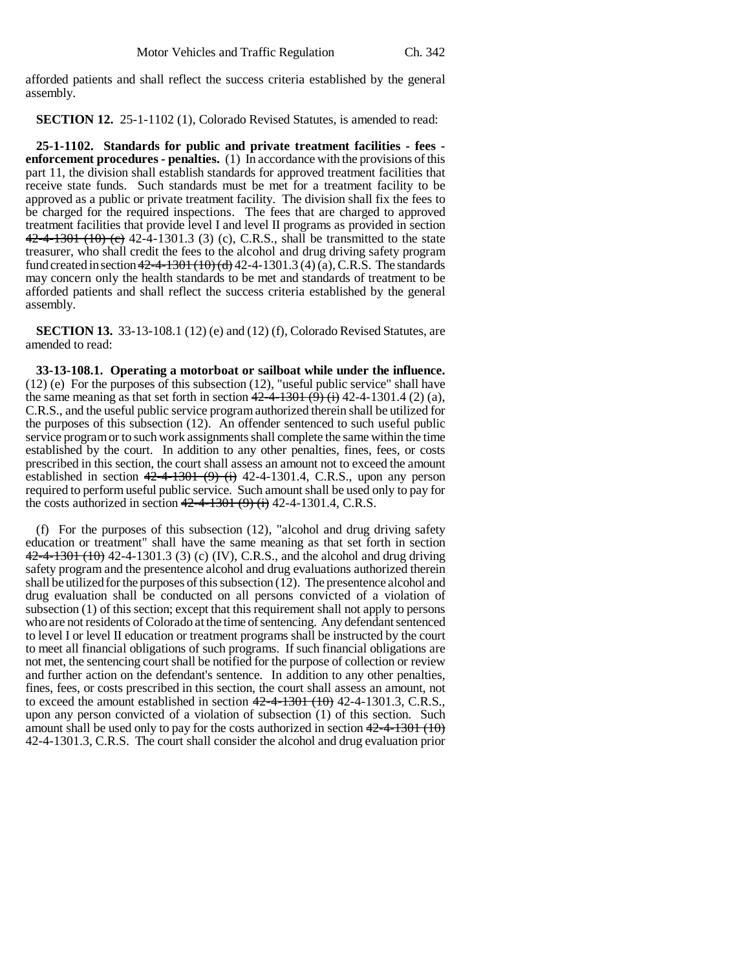afforded patients and shall reflect the success criteria established by the general assembly.

**SECTION 12.** 25-1-1102 (1), Colorado Revised Statutes, is amended to read:

**25-1-1102. Standards for public and private treatment facilities - fees enforcement procedures - penalties.** (1) In accordance with the provisions of this part 11, the division shall establish standards for approved treatment facilities that receive state funds. Such standards must be met for a treatment facility to be approved as a public or private treatment facility. The division shall fix the fees to be charged for the required inspections. The fees that are charged to approved treatment facilities that provide level I and level II programs as provided in section  $42-4-1301$  (10) (c)  $42-4-1301.3$  (3) (c), C.R.S., shall be transmitted to the state treasurer, who shall credit the fees to the alcohol and drug driving safety program fund created in section  $42-4-1301(10)$  (d) 42-4-1301.3 (4) (a), C.R.S. The standards may concern only the health standards to be met and standards of treatment to be afforded patients and shall reflect the success criteria established by the general assembly.

**SECTION 13.** 33-13-108.1 (12) (e) and (12) (f), Colorado Revised Statutes, are amended to read:

**33-13-108.1. Operating a motorboat or sailboat while under the influence.** (12) (e) For the purposes of this subsection (12), "useful public service" shall have the same meaning as that set forth in section  $42-4-1301$  (9) (i) 42-4-1301.4 (2) (a), C.R.S., and the useful public service program authorized therein shall be utilized for the purposes of this subsection (12). An offender sentenced to such useful public service program or to such work assignments shall complete the same within the time established by the court. In addition to any other penalties, fines, fees, or costs prescribed in this section, the court shall assess an amount not to exceed the amount established in section  $42-4-1301$  (9) (i) 42-4-1301.4, C.R.S., upon any person required to perform useful public service. Such amount shall be used only to pay for the costs authorized in section  $42-4-1301 (9)$  (i) 42-4-1301.4, C.R.S.

(f) For the purposes of this subsection (12), "alcohol and drug driving safety education or treatment" shall have the same meaning as that set forth in section  $42-4-1301$  (10) 42-4-1301.3 (3) (c) (IV), C.R.S., and the alcohol and drug driving safety program and the presentence alcohol and drug evaluations authorized therein shall be utilized for the purposes of this subsection (12). The presentence alcohol and drug evaluation shall be conducted on all persons convicted of a violation of subsection (1) of this section; except that this requirement shall not apply to persons who are not residents of Colorado at the time of sentencing. Any defendant sentenced to level I or level II education or treatment programs shall be instructed by the court to meet all financial obligations of such programs. If such financial obligations are not met, the sentencing court shall be notified for the purpose of collection or review and further action on the defendant's sentence. In addition to any other penalties, fines, fees, or costs prescribed in this section, the court shall assess an amount, not to exceed the amount established in section  $42-4-1301$   $(10)$  42-4-1301.3, C.R.S., upon any person convicted of a violation of subsection (1) of this section. Such amount shall be used only to pay for the costs authorized in section  $42-4-1301$  (10) 42-4-1301.3, C.R.S. The court shall consider the alcohol and drug evaluation prior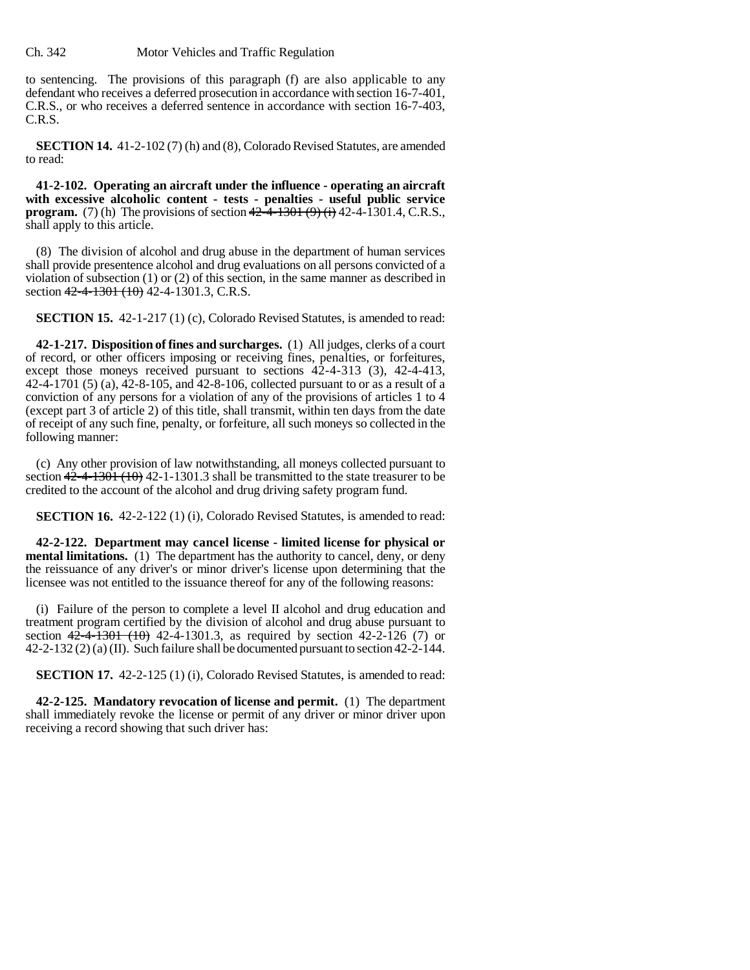### Ch. 342 Motor Vehicles and Traffic Regulation

to sentencing. The provisions of this paragraph (f) are also applicable to any defendant who receives a deferred prosecution in accordance with section 16-7-401, C.R.S., or who receives a deferred sentence in accordance with section 16-7-403, C.R.S.

**SECTION 14.** 41-2-102 (7) (h) and (8), Colorado Revised Statutes, are amended to read:

**41-2-102. Operating an aircraft under the influence - operating an aircraft with excessive alcoholic content - tests - penalties - useful public service program.** (7) (h) The provisions of section  $42\overline{-4}$ -1301 (9) (i) 42-4-1301.4, C.R.S., shall apply to this article.

(8) The division of alcohol and drug abuse in the department of human services shall provide presentence alcohol and drug evaluations on all persons convicted of a violation of subsection (1) or (2) of this section, in the same manner as described in section 42-4-1301 (10) 42-4-1301.3, C.R.S.

**SECTION 15.** 42-1-217 (1) (c), Colorado Revised Statutes, is amended to read:

**42-1-217. Disposition of fines and surcharges.** (1) All judges, clerks of a court of record, or other officers imposing or receiving fines, penalties, or forfeitures, except those moneys received pursuant to sections 42-4-313 (3), 42-4-413, 42-4-1701 (5) (a), 42-8-105, and 42-8-106, collected pursuant to or as a result of a conviction of any persons for a violation of any of the provisions of articles 1 to 4 (except part 3 of article 2) of this title, shall transmit, within ten days from the date of receipt of any such fine, penalty, or forfeiture, all such moneys so collected in the following manner:

(c) Any other provision of law notwithstanding, all moneys collected pursuant to section  $42-4-1301+1301+301+3$  shall be transmitted to the state treasurer to be credited to the account of the alcohol and drug driving safety program fund.

**SECTION 16.** 42-2-122 (1) (i), Colorado Revised Statutes, is amended to read:

**42-2-122. Department may cancel license - limited license for physical or mental limitations.** (1) The department has the authority to cancel, deny, or deny the reissuance of any driver's or minor driver's license upon determining that the licensee was not entitled to the issuance thereof for any of the following reasons:

(i) Failure of the person to complete a level II alcohol and drug education and treatment program certified by the division of alcohol and drug abuse pursuant to section  $42-4-1301$   $(10)$  42-4-1301.3, as required by section 42-2-126 (7) or 42-2-132 (2) (a) (II). Such failure shall be documented pursuant to section 42-2-144.

**SECTION 17.** 42-2-125 (1) (i), Colorado Revised Statutes, is amended to read:

**42-2-125. Mandatory revocation of license and permit.** (1) The department shall immediately revoke the license or permit of any driver or minor driver upon receiving a record showing that such driver has: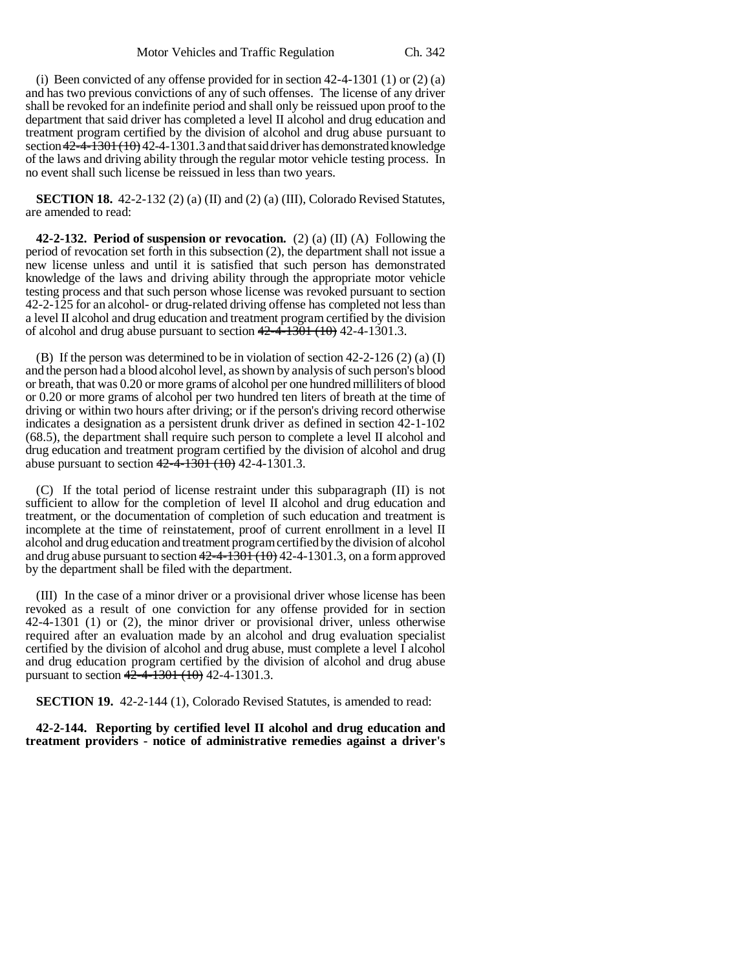(i) Been convicted of any offense provided for in section  $42-4-1301$  (1) or (2) (a) and has two previous convictions of any of such offenses. The license of any driver shall be revoked for an indefinite period and shall only be reissued upon proof to the department that said driver has completed a level II alcohol and drug education and treatment program certified by the division of alcohol and drug abuse pursuant to section  $42-4-1301(10)$  42-4-1301.3 and that said driver has demonstrated knowledge of the laws and driving ability through the regular motor vehicle testing process. In no event shall such license be reissued in less than two years.

**SECTION 18.** 42-2-132 (2) (a) (II) and (2) (a) (III), Colorado Revised Statutes, are amended to read:

**42-2-132. Period of suspension or revocation.** (2) (a) (II) (A) Following the period of revocation set forth in this subsection (2), the department shall not issue a new license unless and until it is satisfied that such person has demonstrated knowledge of the laws and driving ability through the appropriate motor vehicle testing process and that such person whose license was revoked pursuant to section 42-2-125 for an alcohol- or drug-related driving offense has completed not less than a level II alcohol and drug education and treatment program certified by the division of alcohol and drug abuse pursuant to section  $42-4-1301$  (10) 42-4-1301.3.

(B) If the person was determined to be in violation of section 42-2-126 (2) (a) (I) and the person had a blood alcohol level, as shown by analysis of such person's blood or breath, that was 0.20 or more grams of alcohol per one hundred milliliters of blood or 0.20 or more grams of alcohol per two hundred ten liters of breath at the time of driving or within two hours after driving; or if the person's driving record otherwise indicates a designation as a persistent drunk driver as defined in section 42-1-102 (68.5), the department shall require such person to complete a level II alcohol and drug education and treatment program certified by the division of alcohol and drug abuse pursuant to section  $42-4-1301$  (10) 42-4-1301.3.

(C) If the total period of license restraint under this subparagraph (II) is not sufficient to allow for the completion of level II alcohol and drug education and treatment, or the documentation of completion of such education and treatment is incomplete at the time of reinstatement, proof of current enrollment in a level II alcohol and drug education and treatment program certified by the division of alcohol and drug abuse pursuant to section  $42-4-1301$  ( $10$ ) 42-4-1301.3, on a form approved by the department shall be filed with the department.

(III) In the case of a minor driver or a provisional driver whose license has been revoked as a result of one conviction for any offense provided for in section 42-4-1301 (1) or (2), the minor driver or provisional driver, unless otherwise required after an evaluation made by an alcohol and drug evaluation specialist certified by the division of alcohol and drug abuse, must complete a level I alcohol and drug education program certified by the division of alcohol and drug abuse pursuant to section  $42-4-1301$   $(10)$  42-4-1301.3.

**SECTION 19.** 42-2-144 (1), Colorado Revised Statutes, is amended to read:

**42-2-144. Reporting by certified level II alcohol and drug education and treatment providers - notice of administrative remedies against a driver's**